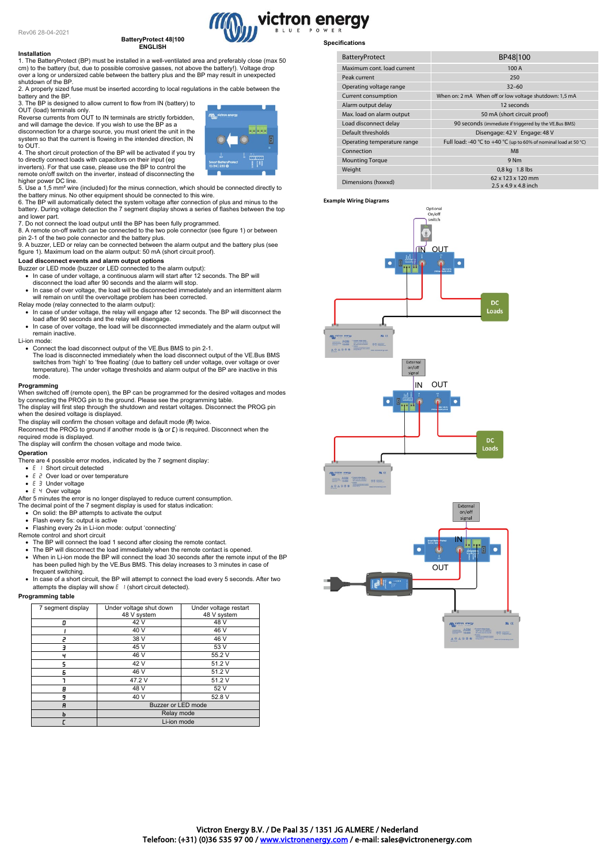# **BatteryProtect 48|100 ENGLISH**

#### **Installation**

# 1. The BatteryProtect (BP) must be installed in a well-ventilated area and preferably close (max 50

cm) to the battery (but, due to possible corrosive gasses, not above the battery!). Voltage drop over a long or undersized cable between the battery plus and the BP may result in unexpected shutdown of the BP.

2. A properly sized fuse must be inserted according to local regulations in the cable between the battery and the BP.

3. The BP is designed to allow current to flow from IN (battery) to

OUT (load) terminals only.<br>Reverse currents from OUT to IN terminals are strictly forbidden,<br>and will damage the device. If you wish to use the BP as a<br>disconnection for a charge source, you must orient the unit in the<br>sys



remote on/off switch on the inverter, instead of disconnecting the higher power DC line.

5. Use a 1,5 mm² wire (included) for the minus connection, which should be connected directly to the battery minus. No other equipment should be connected to this wire. 6. The BP will automatically detect the system voltage after connection of plus and minus to the

battery. During voltage detection the 7 segment display shows a series of flashes between the top and lower part.

7. Do not connect the load output until the BP has been fully programmed. 8. A remote on-off switch can be connected to the two pole connector (see figure 1) or between

pin 2-1 of the two pole connector and the battery plus. 9. A buzzer, LED or relay can be connected between the alarm output and the battery plus (see figure 1). Maximum load on the alarm output: 50 mA (short circuit proof).

# **Load disconnect events and alarm output options**

- Buzzer or LED mode (buzzer or LED connected to the alarm output): • In case of under voltage, a continuous alarm will start after 12 seconds. The BP will
- disconnect the load after 90 seconds and the alarm will stop.
- In case of over voltage, the load will be disconnected immediately and an intermittent alarm will remain on until the overvoltage problem has been corrected. Relay mode (relay connected to the alarm output):
- In case of under voltage, the relay will engage after 12 seconds. The BP will disconnect the load after 90 seconds and the relay will disengage.
- In case of over voltage, the load will be disconnected immediately and the alarm output will remain inactive.

Li-ion mode:

- Connect the load disconnect output of the VE.Bus BMS to pin 2-1.
	- The load is disconnected immediately when the load disconnect output of the VE.Bus BMS<br>switches from 'high' to 'free floating' (due to battery cell under voltage, over voltage or over<br>temperature). The under voltage thresh mode.

#### **Programming**

When switched off (remote open), the BP can be programmed for the desired voltages and modes by connecting the PROG pin to the ground. Please see the programming table. The display will first step through the shutdown and restart voltages. Disconnect the PROG pin when the desired voltage is displayed.

The display will confirm the chosen voltage and default mode  $(\mathbf{H})$  twice.

Reconnect the PROG to ground if another mode is (b or [ ) is required. Disconnect when the required mode is displayed.

The display will confirm the chosen voltage and mode twice.

## **Operation**

- There are 4 possible error modes, indicated by the 7 segment display:
- $\bullet$   $F \perp$  Short circuit detected
- $E \nvert Z$  Over load or over temperature
- **E 3** Under voltage •  $E \nmid$  Over voltage
- 
- After 5 minutes the error is no longer displayed to reduce current consumption. The decimal point of the 7 segment display is used for status indication:
- On solid: the BP attempts to activate the output
- Flash every 5s: output is active

• Flashing every 2s in Li-ion mode: output 'connecting' Remote control and short circuit

- The BP will connect the load 1 second after closing the remote contact.
- 
- The BP will disconnect the load immediately when the remote contact is opened. When in Li-ion mode the BP will connect the load 30 seconds after the remote input of the BP has been pulled high by the VE.Bus BMS. This delay increases to 3 minutes in case of frequent switching.
- In case of a short circuit, the BP will attempt to connect the load every 5 seconds. After two attempts the display will show  $E \cup \{$  (short circuit detected).

#### **Programming table**

| 7 segment display | Under voltage shut down<br>48 V system | Under voltage restart<br>48 V system |
|-------------------|----------------------------------------|--------------------------------------|
| П                 | 42 V                                   | 48 V                                 |
|                   | 40 V                                   | 46 V                                 |
|                   | 38 V                                   | 46 V                                 |
|                   | 45 V                                   | 53 V                                 |
|                   | 46 V                                   | 55.2 V                               |
|                   | 42 V                                   | 51.2 V                               |
| F                 | 46 V                                   | 51.2 V                               |
|                   | 47.2 V                                 | 51.2 V                               |
| θ                 | 48 V                                   | 52 V                                 |
| 9                 | 40 V                                   | 52.8V                                |
| A                 | Buzzer or LED mode                     |                                      |
|                   | Relay mode                             |                                      |
|                   | Li-ion mode                            |                                      |



# **Specifications**

victron energy

| <b>BatteryProtect</b>       | BP48 100                                                         |  |
|-----------------------------|------------------------------------------------------------------|--|
| Maximum cont. load current  | 100 A                                                            |  |
| Peak current                | 250                                                              |  |
| Operating voltage range     | $32 - 60$                                                        |  |
| Current consumption         | When on: 2 mA When off or low voltage shutdown: 1,5 mA           |  |
| Alarm output delay          | 12 seconds                                                       |  |
| Max. load on alarm output   | 50 mA (short circuit proof)                                      |  |
| Load disconnect delay       | 90 seconds (immediate if triggered by the VE.Bus BMS)            |  |
| Default thresholds          | Disengage: 42 V Engage: 48 V                                     |  |
| Operating temperature range | Full load: -40 °C to +40 °C (up to 60% of nominal load at 50 °C) |  |
| Connection                  | M <sub>8</sub>                                                   |  |
| <b>Mounting Torque</b>      | 9 Nm                                                             |  |
| Weight                      | 0,8 kg 1.8 lbs                                                   |  |
| Dimensions (hxwxd)          | 62 x 123 x 120 mm<br>$2.5 \times 4.9 \times 4.8$ inch            |  |





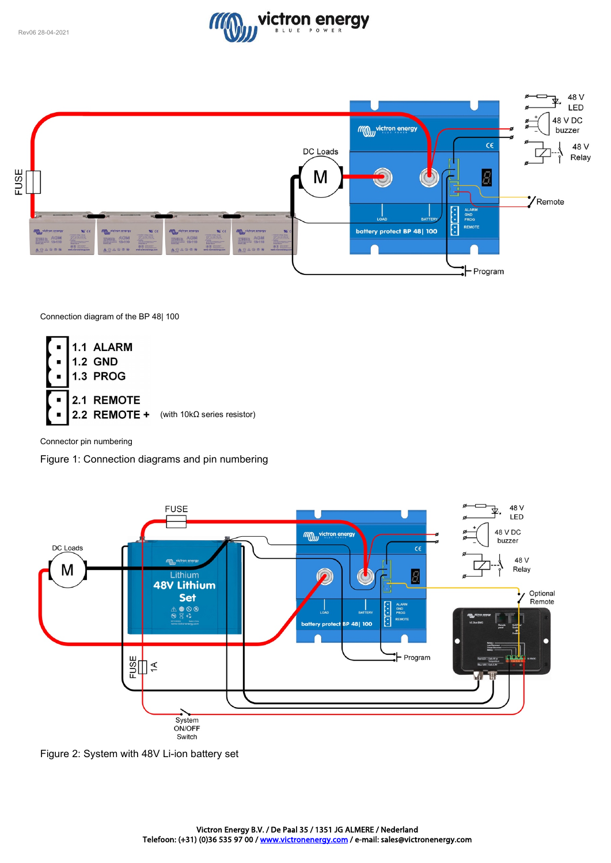



Connection diagram of the BP 48| 100



Connector pin numbering

Figure 1: Connection diagrams and pin numbering



Figure 2: System with 48V Li-ion battery set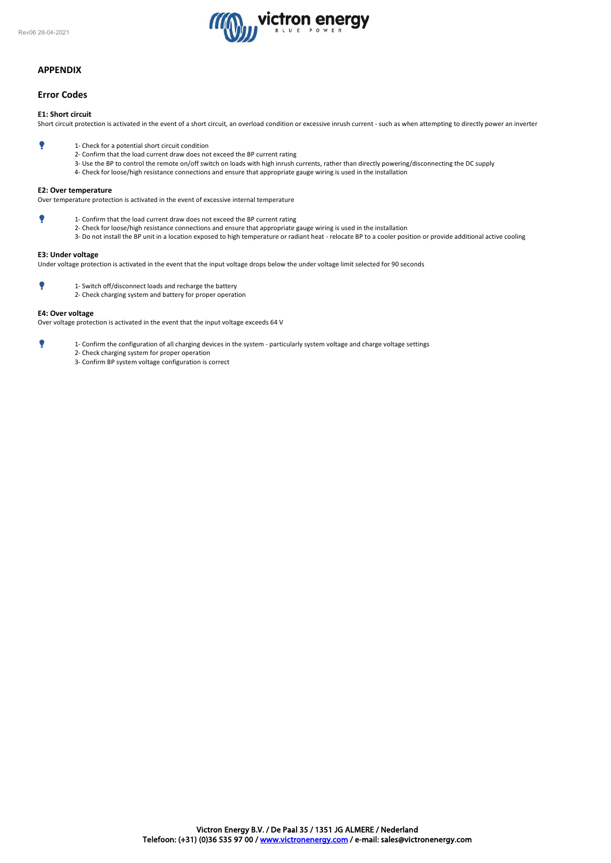

# **APPENDIX**

# **Error Codes**

# **E1: Short circuit**

Short circuit protection is activated in the event of a short circuit, an overload condition or excessive inrush current - such as when attempting to directly power an inverter

- 1- Check for a potential short circuit condition
	- 2- Confirm that the load current draw does not exceed the BP current rating
	- 3- Use the BP to control the remote on/off switch on loads with high inrush currents, rather than directly powering/disconnecting the DC supply
	- 4- Check for loose/high resistance connections and ensure that appropriate gauge wiring is used in the installation

### **E2: Over temperature**

Over temperature protection is activated in the event of excessive internal temperature

- 1- Confirm that the load current draw does not exceed the BP current rating
	- 2- Check for loose/high resistance connections and ensure that appropriate gauge wiring is used in the installation
		- 3- Do not install the BP unit in a location exposed to high temperature or radiant heat relocate BP to a cooler position or provide additional active cooling

# **E3: Under voltage**

Under voltage protection is activated in the event that the input voltage drops below the under voltage limit selected for 90 seconds

- 1- Switch off/disconnect loads and recharge the battery
	- 2- Check charging system and battery for proper operation

### **E4: Over voltage**

Over voltage protection is activated in the event that the input voltage exceeds 64 V

- 1- Confirm the configuration of all charging devices in the system particularly system voltage and charge voltage settings
	- 2- Check charging system for proper operation
	- 3- Confirm BP system voltage configuration is correct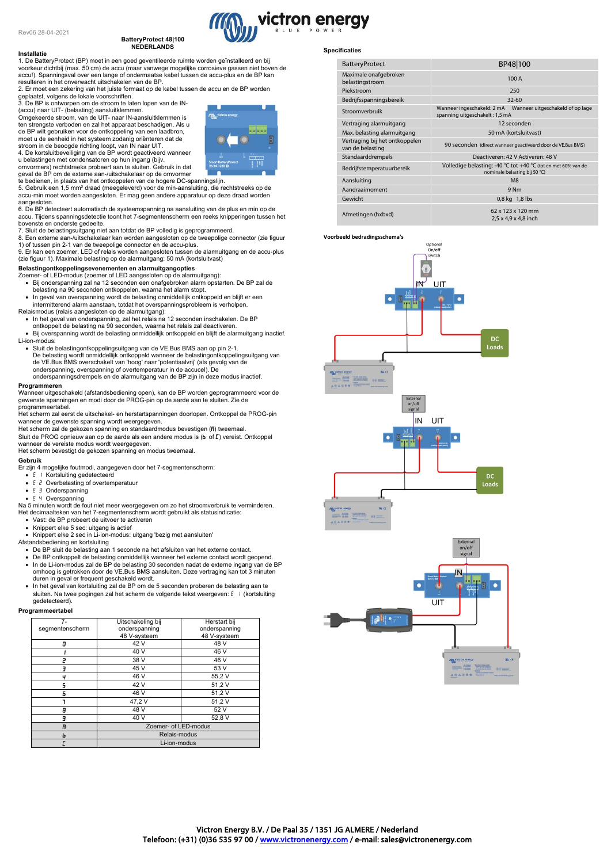#### **BatteryProtect 48|100 NEDERLANDS**

# **Installatie** 1. De BatteryProtect (BP) moet in een goed geventileerde ruimte worden geïnstalleerd en bij voorkeur dichtbij (max. 50 cm) de accu (maar vanwege mogelijke corrosieve gassen niet boven de accu!). Spanningsval over een lange of ondermaatse kabel tussen de accu-plus en de BP kan

resulteren in het onverwacht uitschakelen van de BP. 2. Er moet een zekering van het juiste formaat op de kabel tussen de accu en de BP worden

geplaatst, volgens de lokale voorschriften. 3. De BP is ontworpen om de stroom te laten lopen van de IN-

(accu) naar UIT- (belasting) aansluitklemmen.<br>Omgekeerde stroom, van de UIT- naar IN-aansluitklemmen is<br>ten strengste verboden en zal het apparaat beschadigen. Als u

de BP wilt gebruiken voor de ontkoppeling van een laadbron, moet u de eenheid in het systeem zodanig oriënteren dat de stroom in de beoogde richting loopt, van IN naar UIT. 4. De kortsluitbeveiliging van de BP wordt geactiveerd wanneer

u belastingen met condensatoren op hun ingang (bijv. omvormers) rechtstreeks probeert aan te sluiten. Gebruik in dat

geval de BP om de externe aan-/uitschakelaar op de omvormer te bedienen, in plaats van het ontkoppelen van de hogere DC-spanningslijn.

5. Gebruik een 1,5 mm² draad (meegeleverd) voor de min-aansluiting, die rechtstreeks op de accu-min moet worden aangesloten. Er mag geen andere apparatuur op deze draad worden aangesloten.

6. De BP detecteert automatisch de systeemspanning na aansluiting van de plus en min op de accu. Tijdens spanningsdetectie toont het 7-segmentenscherm een reeks knipperingen tussen het

bovenste en onderste gedeelte. 7. Sluit de belastingsuitgang niet aan totdat de BP volledig is geprogrammeerd.

8. Een externe aan-/uitschakelaar kan worden aangesloten op de tweepolige connector (zie figuur 1) of tussen pin 2-1 van de tweepolige connector en de accu-plus.

9. Er kan een zoemer, LED of relais worden aangesloten tussen de alarmuitgang en de accu-plus (zie figuur 1). Maximale belasting op de alarmuitgang: 50 mA (kortsluitvast)

# **Belastingontkoppelingsevenementen en alarmuitgangopties**

Zoemer- of LED-modus (zoemer of LED aangesloten op de alarmuitgang): • Bij onderspanning zal na 12 seconden een onafgebroken alarm opstarten. De BP zal de belasting na 90 seconden ontkoppelen, waarna het alarm stopt.

- In geval van overspanning wordt de belasting onmiddellijk ontkoppeld en blijft er een intermitterend alarm aanstaan, totdat het overspanningsprobleem is verholpen. Relaismodus (relais aangesloten op de alarmuitgang):
- In het geval van onderspanning, zal het relais na 12 seconden inschakelen. De BP
- ontkoppelt de belasting na 90 seconden, waarna het relais zal deactiveren.
- Bij overspanning wordt de belasting onmiddellijk ontkoppeld en blijft de alarmuitgang inactief. Li-ion-modus:
- Sluit de belastingontkoppelingsuitgang van de VE.Bus BMS aan op pin 2-1.<br>De belasting wordt onmiddellijk ontkoppeld wanneer de belastingontkoppelingsuitgang van<br>de VE.Bus BMS overschakelt van 'hoog' naar 'potentiaalvrij onderspanning, overspanning of overtemperatuur in de accucel). De onderspanningsdrempels en de alarmuitgang van de BP zijn in deze modus inactief.

#### **Programmeren**

Wanneer uitgeschakeld (afstandsbediening open), kan de BP worden geprogrammeerd voor de gewenste spanningen en modi door de PROG-pin op de aarde aan te sluiten. Zie de programmeertabel.

Het scherm zal eerst de uitschakel- en herstartspanningen doorlopen. Ontkoppel de PROG-pin

wanneer de gewenste spanning wordt weergegeven.<br>Het scherm zal de gekozen spanning en standaardmodus bevestigen (**R**) tweemaal. Sluit de PROG opnieuw aan op de aarde als een andere modus is  $(b \text{ of } \mathcal{L})$  vereist. Ontkoppel

wanneer de vereiste modus wordt weergegeven. Het scherm bevestigt de gekozen spanning en modus tweemaal.

#### **Gebruik**

Er zijn 4 mogelijke foutmodi, aangegeven door het 7-segmentenscherm:

- $\bullet$   $E$  / Kortsluiting gedetecteerd
- $E \nvert P$  Overbelasting of overtemperatuur
- $\bullet$   $E \ni$  Onderspanning
- 

• Overspanning Na 5 minuten wordt de fout niet meer weergegeven om zo het stroomverbruik te verminderen. Het decimaalteken van het 7-segmentenscherm wordt gebruikt als statusindicatie:

- Vast: de BP probeert de uitvoer te activeren
- 

• Knippert elke 5 sec: uitgang is actief • Knippert elke 2 sec in Li-ion-modus: uitgang 'bezig met aansluiten'

Afstandsbediening en kortsluiting

- De BP sluit de belasting aan 1 seconde na het afsluiten van het externe contact.
- De BP ontkoppelt de belasting onmiddellijk wanneer het externe contact wordt geopend.<br>● In de Li-ion-modus zal de BP de belasting 30 seconden nadat de externe ingang van de BP omhoog is getrokken door de VE.Bus BMS aans
- In het geval van kortsluiting zal de BP om de 5 seconden proberen de belasting aan te sluiten. Na twee pogingen zal het scherm de volgende tekst weergeven: E | (kortsluiting gedetecteerd).

#### **Programmeertabel**

| $7-$            | Uitschakeling bij    | Herstart bij  |
|-----------------|----------------------|---------------|
| segmentenscherm | onderspanning        | onderspanning |
|                 | 48 V-systeem         | 48 V-systeem  |
| п               | 42 V                 | 48 V          |
|                 | 40 V                 | 46 V          |
| 7               | 38 V                 | 46 V          |
| ╕               | 45 V                 | 53 V          |
| ч               | 46 V                 | 55,2V         |
| 5               | 42 V                 | 51,2V         |
| Б               | 46 V                 | 51,2V         |
|                 | 47,2V                | 51,2V         |
| 8               | 48 V                 | 52 V          |
| 9               | 40 V                 | 52,8 V        |
| A               | Zoemer- of LED-modus |               |
| ь               | Relais-modus         |               |
|                 | Li-ion-modus         |               |

# **Specificaties**

victron energy

| <b>BatteryProtect</b>                              | BP48 100                                                                                         |                                           |
|----------------------------------------------------|--------------------------------------------------------------------------------------------------|-------------------------------------------|
| Maximale onafgebroken<br>belastingstroom           | 100 A                                                                                            |                                           |
| Piekstroom                                         |                                                                                                  | 250                                       |
| Bedrijfsspanningsbereik                            |                                                                                                  | $32 - 60$                                 |
| Stroomverbruik                                     | Wanneer uitgeschakeld of op lage<br>Wanneer ingeschakeld: 2 mA<br>spanning uitgeschakelt: 1,5 mA |                                           |
| Vertraging alarmuitgang                            | 12 seconden                                                                                      |                                           |
| Max. belasting alarmuitgang                        | 50 mA (kortsluitvast)                                                                            |                                           |
| Vertraging bij het ontkoppelen<br>van de belasting | 90 seconden (direct wanneer geactiveerd door de VE.Bus BMS)                                      |                                           |
| Standaarddrempels                                  | Deactiveren: 42 V Activeren: 48 V                                                                |                                           |
| Bedrijfstemperatuurbereik                          | Volledige belasting: -40 °C tot +40 °C (tot en met 60% van de<br>nominale belasting bij 50 °C)   |                                           |
| Aansluiting                                        | M <sub>8</sub>                                                                                   |                                           |
| Aandraaimoment                                     | 9 <sub>Nm</sub>                                                                                  |                                           |
| Gewicht                                            |                                                                                                  | 0,8 kg 1,8 lbs                            |
| Afmetingen (hxbxd)                                 |                                                                                                  | 62 x 123 x 120 mm<br>2,5 x 4,9 x 4,8 inch |

#### **Voorbeeld bedradingsschema's**





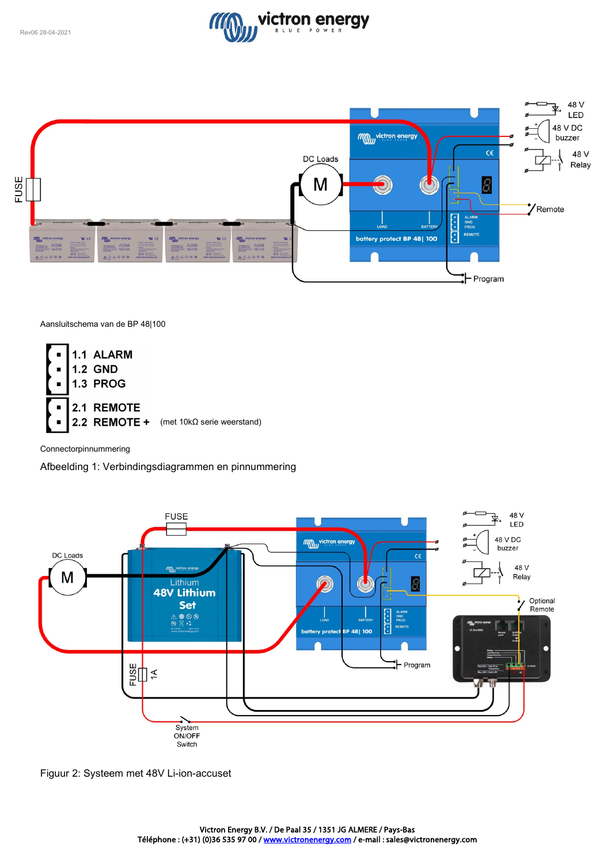



Aansluitschema van de BP 48|100



Connectorpinnummering

Afbeelding 1: Verbindingsdiagrammen en pinnummering



Figuur 2: Systeem met 48V Li-ion-accuset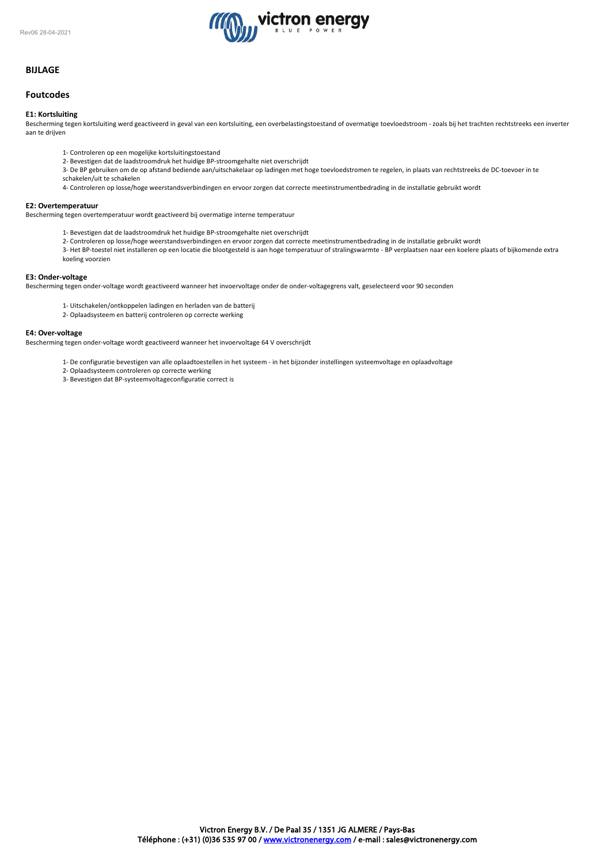

# **BIJLAGE**

# **Foutcodes**

## **E1: Kortsluiting**

Bescherming tegen kortsluiting werd geactiveerd in geval van een kortsluiting, een overbelastingstoestand of overmatige toevloedstroom - zoals bij het trachten rechtstreeks een inverter aan te drijven

- 1- Controleren op een mogelijke kortsluitingstoestand
- 2- Bevestigen dat de laadstroomdruk het huidige BP-stroomgehalte niet overschrijdt
- 3- De BP gebruiken om de op afstand bediende aan/uitschakelaar op ladingen met hoge toevloedstromen te regelen, in plaats van rechtstreeks de DC-toevoer in te schakelen/uit te schakelen
- 
- 4- Controleren op losse/hoge weerstandsverbindingen en ervoor zorgen dat correcte meetinstrumentbedrading in de installatie gebruikt wordt

#### **E2: Overtemperatuur**

Bescherming tegen overtemperatuur wordt geactiveerd bij overmatige interne temperatuur

- 1- Bevestigen dat de laadstroomdruk het huidige BP-stroomgehalte niet overschrijdt
- 2- Controleren op losse/hoge weerstandsverbindingen en ervoor zorgen dat correcte meetinstrumentbedrading in de installatie gebruikt wordt

3- Het BP-toestel niet installeren op een locatie die blootgesteld is aan hoge temperatuur of stralingswarmte - BP verplaatsen naar een koelere plaats of bijkomende extra koeling voorzien

#### **E3: Onder-voltage**

Bescherming tegen onder-voltage wordt geactiveerd wanneer het invoervoltage onder de onder-voltagegrens valt, geselecteerd voor 90 seconden

- 1- Uitschakelen/ontkoppelen ladingen en herladen van de batterij
- 2- Oplaadsysteem en batterij controleren op correcte werking

#### **E4: Over-voltage**

Bescherming tegen onder-voltage wordt geactiveerd wanneer het invoervoltage 64 V overschrijdt

- 1- De configuratie bevestigen van alle oplaadtoestellen in het systeem in het bijzonder instellingen systeemvoltage en oplaadvoltage
	- 2- Oplaadsysteem controleren op correcte werking
	- 3- Bevestigen dat BP-systeemvoltageconfiguratie correct is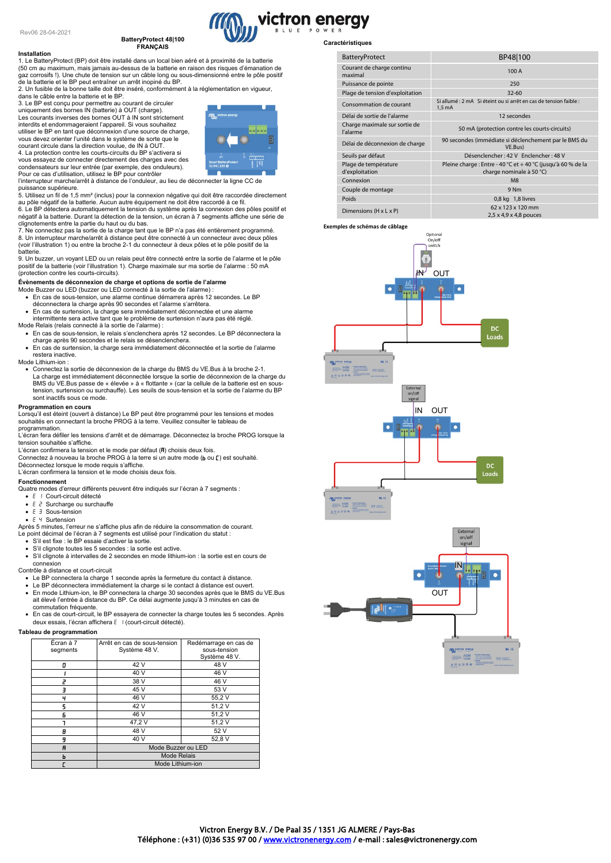**Installation**

# **BatteryProtect 48|100**

# **FRANÇAIS**

1. Le BatteryProtect (BP) doit être installé dans un local bien aéré et à proximité de la batterie (50 cm au maximum, mais jamais au-dessus de la batterie en raison des risques d'émanation de gaz corrosifs !). Une chute de tension sur un câble long ou sous-dimensionné entre le pôle positif de la batterie et le BP peut entraîner un arrêt inopiné du BP. 2. Un fusible de la bonne taille doit être inséré, conformément à la réglementation en vigueur,

dans le câble entre la batterie et le BP.

3. Le BP est conçu pour permettre au courant de circuler uniquement des bornes IN (batterie) à OUT (charge).<br>Les courants inverses des bornes OUT à IN sont strictement<br>interdits et endommageraient l'appareil. Si vous souhaitez utiliser le BP en tant que déconnexion d'une source de charge, vous devez orienter l'unité dans le système de sorte que le courant circule dans la direction voulue, de IN à OUT. 4. La protection contre les courts-circuits du BP s'activera si

vous essayez de connecter directement des charges avec des condensateurs sur leur entrée (par exemple, des onduleurs). Pour ce cas d'utilisation, utilisez le BP pour contrôler

l'interrupteur marche/arrêt à distance de l'onduleur, au lieu de déconnecter la ligne CC de

puissance supérieure. 5. Utilisez un fil de 1,5 mm² (inclus) pour la connexion négative qui doit être raccordée directement au pôle négatif de la batterie. Aucun autre équipement ne doit être raccordé à ce fil. 6. Le BP détectera automatiquement la tension du système après la connexion des pôles positif et négatif à la batterie. Durant la détection de la tension, un écran à 7 segments affiche une série de

clignotements entre la partie du haut ou du bas. 7. Ne connectez pas la sortie de la charge tant que le BP n'a pas été entièrement programmé.

8. Un interrupteur marche/arrêt à distance peut être connecté à un connecteur avec deux pôles (voir l'illustration 1) ou entre la broche 2-1 du connecteur à deux pôles et le pôle positif de la batterie.

9. Un buzzer, un voyant LED ou un relais peut être connecté entre la sortie de l'alarme et le pôle positif de la batterie (voir l'illustration 1). Charge maximale sur ma sortie de l'alarme : 50 mA (protection contre les courts-circuits).

Evènements de déconnexion de charge et options de sortie de l'alarme<br>Mode Buzzer ou LED (buzzer ou LED connecté à la sortie de l'alarme ) :<br> En cas de sous-tension, une alarme continue démarrera après 12 secondes

- déconnectera la charge après 90 secondes et l'alarme s'arrêtera. En cas de surtension, la charge sera immédiatement déconnectée et une alarme
- 
- intermittente sera active tant que le problème de surtension n'aura pas été réglé. Mode Relais (relais connecté à la sortie de l'alarme) :
- En cas de sous-tension, le relais s'enclenchera après 12 secondes. Le BP déconnectera la charge après 90 secondes et le relais se désenclenchera. • En cas de surtension, la charge sera immédiatement déconnectée et la sortie de l'alarme
- restera inactive.
- Mode Lithium-ion :
- Connectez la sortie de déconnexion de la charge du BMS du VE.Bus à la broche 2-1.<br>La charge est immédiatement déconnectée lorsque la sortie de déconnexion de la charge du<br>BMS du VE.Bus passe de « élevée » à « flottante tension, surtension ou surchauffe). Les seuils de sous-tension et la sortie de l'alarme du BP sont inactifs sous ce mode.

# **Programmation en cours**

Lorsqu'il est éteint (ouvert à distance) Le BP peut être programmé pour les tensions et modes souhaités en connectant la broche PROG à la terre. Veuillez consulter le tableau de programmation.

L'écran fera défiler les tensions d'arrêt et de démarrage. Déconnectez la broche PROG lorsque la tension souhaitée s'affiche.

L'écran confirmera la tension et le mode par défaut  $(H)$  choisis deux fois.

- L'octain communera la terretori et le mode par defact (vi) crisiste dealt lelle.<br>Connectez à nouveau la broche PROG à la terre si un autre mode (b ou [ ) est souhaité.
- Déconnectez lorsque le mode requis s'affiche. L'écran confirmera la tension et le mode choisis deux fois.

#### **Fonctionnement**

Quatre modes d'erreur différents peuvent être indiqués sur l'écran à 7 segments :

- E I Court-circuit détecté
- Surcharge ou surchauffe •  $E \exists$  Sous-tension
- $\bullet$   $F$   $\prime$  Surtension

Après 5 minutes, l'erreur ne s'affiche plus afin de réduire la consommation de courant.

Le point décimal de l'écran à 7 segments est utilisé pour l'indication du statut : • S'il est fixe : le BP essaie d'activer la sortie.

- 
- S'il clignote toutes les 5 secondes : la sortie est active.

• S'il clignote à intervalles de 2 secondes en mode lithium-ion : la sortie est en cours de connexion Contrôle à distance et court-circuit

- 
- Le BP connectera la charge 1 seconde après la fermeture du contact à distance.
- Le BP déconnectera immédiatement la charge si le contact à distance est ouvert. En mode Lithium-ion, le BP connectera la charge 30 secondes après que le BMS du VE.Bus ait élevé l'entrée à distance du BP. Ce délai augmente jusqu'à 3 minutes en cas de commutation fréquente.
- En cas de court-circuit, le BP essayera de connecter la charge toutes les 5 secondes. Après deux essais, l'écran affichera E | (court-circuit détecté)

### **Tableau de programmation**

| Écran à 7<br>segments | Arrêt en cas de sous-tension<br>Système 48 V. | Redémarrage en cas de<br>sous-tension<br>Système 48 V. |
|-----------------------|-----------------------------------------------|--------------------------------------------------------|
| Ω                     | 42 V                                          | 48 V                                                   |
|                       | 40 V                                          | 46 V                                                   |
| P                     | 38 V                                          | 46 V                                                   |
|                       | 45 V                                          | 53 V                                                   |
| ч                     | 46 V                                          | 55,2V                                                  |
| 5                     | 42 V                                          | 51,2V                                                  |
| Б                     | 46 V                                          | 51,2V                                                  |
|                       | 47,2V                                         | 51,2V                                                  |
| Β                     | 48 V                                          | 52 V                                                   |
| 9                     | 40 V                                          | 52,8 V                                                 |
| R                     | Mode Buzzer ou LED                            |                                                        |
| ь                     | <b>Mode Relais</b>                            |                                                        |
|                       | Mode Lithium-ion                              |                                                        |

# **Caractéristiques**

victron energy

| <b>BatteryProtect</b>                     | BP48 100                                                                                 |
|-------------------------------------------|------------------------------------------------------------------------------------------|
| Courant de charge continu<br>maximal      | 100 A                                                                                    |
| Puissance de pointe                       | 250                                                                                      |
| Plage de tension d'exploitation           | $32 - 60$                                                                                |
| Consommation de courant                   | Si allumé : 2 mA Si éteint ou si arrêt en cas de tension faible :<br>$1,5$ mA            |
| Délai de sortie de l'alarme               | 12 secondes                                                                              |
| Charge maximale sur sortie de<br>l'alarme | 50 mA (protection contre les courts-circuits)                                            |
| Délai de déconnexion de charge            | 90 secondes (immédiate si déclenchement par le BMS du<br>VE.Bus)                         |
| Seuils par défaut                         | Désenclencher: 42 V Enclencher: 48 V                                                     |
| Plage de température<br>d'exploitation    | Pleine charge : Entre - 40 °C et + 40 °C (jusqu'à 60 % de la<br>charge nominale à 50 °C) |
| Connexion                                 | M8                                                                                       |
| Couple de montage                         | 9 Nm                                                                                     |
| Poids                                     | 0,8 kg 1,8 livres                                                                        |
| Dimensions $(H \times L \times P)$        | 62 x 123 x 120 mm<br>$2,5 \times 4,9 \times 4,8$ pouces                                  |

**Exemples de schémas de câblage**





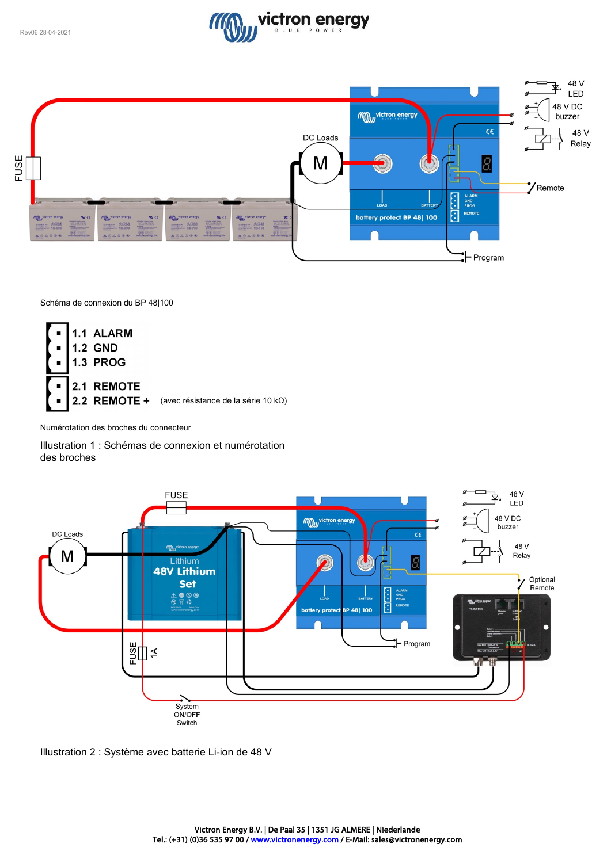



Schéma de connexion du BP 48|100



Numérotation des broches du connecteur

Illustration 1 : Schémas de connexion et numérotation des broches



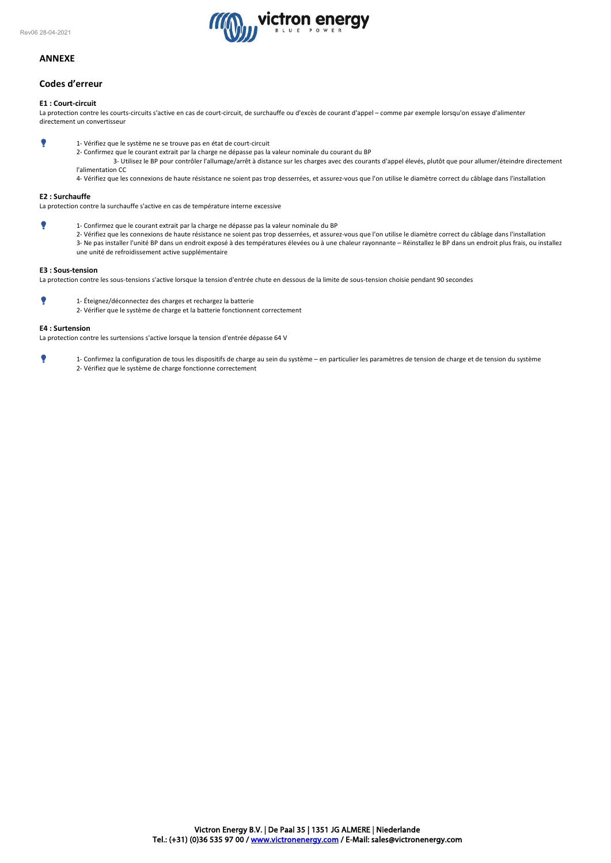

# **ANNEXE**

# **Codes d'erreur**

## **E1 : Court-circuit**

La protection contre les courts-circuits s'active en cas de court-circuit, de surchauffe ou d'excès de courant d'appel – comme par exemple lorsqu'on essaye d'alimenter directement un convertisseur

- 1- Vérifiez que le système ne se trouve pas en état de court-circuit
	- 2- Confirmez que le courant extrait par la charge ne dépasse pas la valeur nominale du courant du BP
		- 3- Utilisez le BP pour contrôler l'allumage/arrêt à distance sur les charges avec des courants d'appel élevés, plutôt que pour allumer/éteindre directement l'alimentation CC

4- Vérifiez que les connexions de haute résistance ne soient pas trop desserrées, et assurez-vous que l'on utilise le diamètre correct du câblage dans l'installation

### **E2 : Surchauffe**

La protection contre la surchauffe s'active en cas de température interne excessive

- 1- Confirmez que le courant extrait par la charge ne dépasse pas la valeur nominale du BP
	- 2- Vérifiez que les connexions de haute résistance ne soient pas trop desserrées, et assurez-vous que l'on utilise le diamètre correct du câblage dans l'installation 3- Ne pas installer l'unité BP dans un endroit exposé à des températures élevées ou à une chaleur rayonnante – Réinstallez le BP dans un endroit plus frais, ou installez une unité de refroidissement active supplémentaire

#### **E3 : Sous-tension**

La protection contre les sous-tensions s'active lorsque la tension d'entrée chute en dessous de la limite de sous-tension choisie pendant 90 secondes

- 1- Éteignez/déconnectez des charges et rechargez la batterie
	- 2- Vérifier que le système de charge et la batterie fonctionnent correctement

#### **E4 : Surtension**

La protection contre les surtensions s'active lorsque la tension d'entrée dépasse 64 V

 1- Confirmez la configuration de tous les dispositifs de charge au sein du système – en particulier les paramètres de tension de charge et de tension du système 2- Vérifiez que le système de charge fonctionne correctement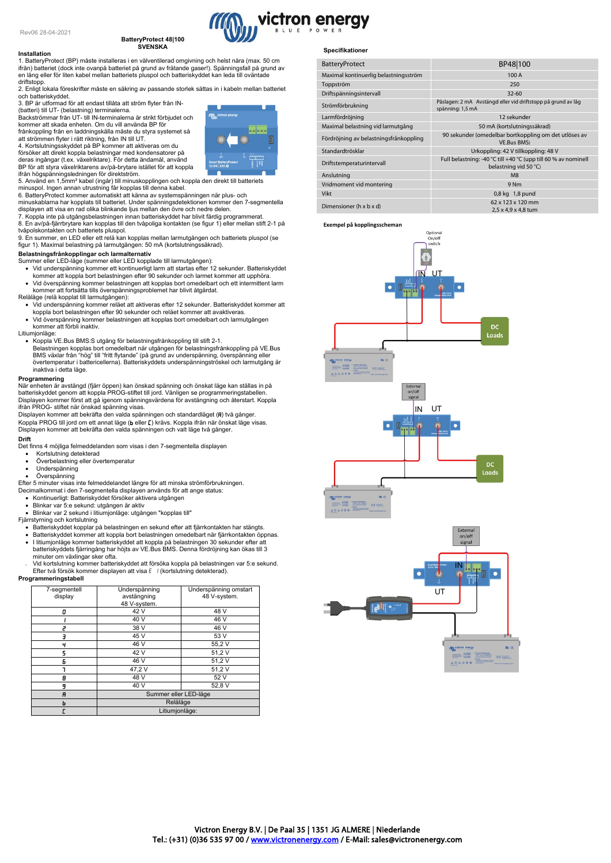#### **Installation**

# **BatteryProtect 48|100 SVENSKA**

1. BatteryProtect (BP) måste installeras i en välventilerad omgivning och helst nära (max. 50 cm ifrån) batteriet (dock inte ovanpå batteriet på grund av frätande gaser!). Spänningsfall på grund av en lång eller för liten kabel mellan batteriets pluspol och batteriskyddet kan leda till oväntade driftstopp.

2. Enligt lokala föreskrifter måste en säkring av passande storlek sättas in i kabeln mellan batteriet och batteriskyddet. 3. BP är utformad för att endast tillåta att ström flyter från IN-

(batteri) till UT- (belastning) terminalerna. Backströmmar från UT- till IN-terminalerna är strikt förbjudet och kommer att skada enheten. Om du vill använda BP för

frånkoppling från en laddningskälla måste du styra systemet så att strömmen flyter i rätt riktning, från IN till UT.

4. Kortslutningsskyddet på BP kommer att aktiveras om du försöker att direkt koppla belastningar med kondensatorer på deras ingångar (t.ex. växelriktare). För detta ändamål, använd BP för att styra växelriktarens av/på-brytare istället för att koppla

ifrån högspänningsledningen för direktström.

5. Använd en 1,5mm² kabel (ingår) till minuskopplingen och koppla den direkt till batteriets

minuspol. Ingen annan utrustning får kopplas till denna kabel.<br>6. BatteryProtect kommer automatiskt att känna av systemspänningen när plus- och<br>minuskablarna har kopplats till batteriet. Under spänningsdetektionen kommer d displayen att visa en rad olika blinkande ljus mellan den övre och nedre delen.

7. Koppla inte på utgångsbelastningen innan batteriskyddet har blivit färdig programmerat. 8. En av/på-fjärrbrytare kan kopplas till den tvåpoliga kontakten (se figur 1) eller mellan stift 2-1 på tvåpolskontakten och batteriets pluspol.

9. En summer, en LED eller ett relä kan kopplas mellan larmutgången och batteriets pluspol (se figur 1). Maximal belastning på larmutgången: 50 mA (kortslutningssäkrad).

**Belastningsfrånkopplingar och larmalternativ**<br>Summer eller LED-läge (summer eller LED kopplade till larmutgången):

- Vid underspänning kommer ett kontinuerligt larm att startas efter 12 sekunder. Batteriskyddet kommer att koppla bort belastningen efter 90 sekunder och larmet kommer att upphöra.
- Vid överspänning kommer belastningen att kopplas bort omedelbart och ett intermittent larm kommer att fortsätta tills överspänningsproblemet har blivit åtgärdat.
- Reläläge (relä kopplat till larmutgången): Vid underspänning kommer reläet att aktiveras efter 12 sekunder. Batteriskyddet kommer att
	- koppla bort belastningen efter 90 sekunder och reläet kommer att avaktiveras. Vid överspänning kommer belastningen att kopplas bort omedelbart och larmutgången
- kommer att förbli inaktiv.

#### Litiumjonläge:

∙ Koppla VE.Bus BMS:S utgång för belastningsfrånkoppling till stift 2-1.<br>Belastningen kopplas bort omedelbart när utgången för belastningsfrånkoppling på VE.Bus<br>BMS växlar från "hög" till "fritt flytande" (på grund av un inaktiva i detta läge.

#### **Programmering**

När enheten är avstängd (fjärr öppen) kan önskad spänning och önskat läge kan ställas in på<br>batteriskyddet genom att koppla PROG-stiftet till jord. Vänligen se programmeringstabellen.<br>Displayen kommer först att gå igenom s ifrån PROG- stiftet när önskad spänning visas.

Displayen kommer att bekräfta den valda spänningen och standardläget (R) två gånger. Koppla PROG till jord om ett annat läge (b eller []) krävs. Koppla ifrån när önskat läge visas Displayen kommer att bekräfta den valda spänningen och valt läge två gånger. **Drift**

Det finns 4 möjliga felmeddelanden som visas i den 7-segmentella displayen

- Kortslutning detekterad
- Överbelastning eller övertemperatur
- Underspänning
- Överspänning

Efter 5 minuter visas inte felmeddelandet längre för att minska strömförbrukningen.

- Decimalkommat i den 7-segmentella displayen används för att ange status: Kontinuerligt: Batteriskyddet försöker aktivera utgången
- 
- Blinkar var 5:e sekund: utgången är aktiv • Blinkar var 2 sekund i litiumjonläge: utgången "kopplas till"
- Fjärrstyrning och kortslutning
- Batteriskyddet kopplar på belastningen en sekund efter att fjärrkontakten har stängts.
- Batteriskyddet kommer att koppla bort belastningen omedelbart när fjärrkontakten öppnas.
- I litiumjonläge kommer batteriskyddet att koppla på belastningen 30 sekunder efter att batteriskyddets fjärringång har höjts av VE.Bus BMS. Denna fördröjning kan ökas till 3
- minuter om växlingar sker ofta. Vid kortslutning kommer batteriskyddet att försöka koppla på belastningen var 5:e sekund. Efter två försök kommer displayen att visa E I (kortslutning detekterad).

# **Programmeringstabell**

| 7-segmentell<br>display | Underspänning<br>avstängning<br>48 V-system. | Underspänning omstart<br>48 V-system. |
|-------------------------|----------------------------------------------|---------------------------------------|
| 0                       | 42 V                                         | 48 V                                  |
|                         | 40 V                                         | 46 V                                  |
| 2                       | 38 V                                         | 46 V                                  |
| E                       | 45 V                                         | 53 V                                  |
| ч                       | 46 V                                         | 55,2V                                 |
| 5                       | 42 V                                         | 51,2V                                 |
| Б                       | 46 V                                         | 51,2V                                 |
|                         | 47,2V                                        | 51,2V                                 |
| 8                       | 48 V                                         | 52 V                                  |
| 9                       | 40 V                                         | 52,8 V                                |
| A                       | Summer eller LED-läge                        |                                       |
| ь                       | Reläläge                                     |                                       |
|                         | Litiumjonläge:                               |                                       |



victron energy

| <b>BatteryProtect</b>                  | BP48 100                                                                                |  |
|----------------------------------------|-----------------------------------------------------------------------------------------|--|
| Maximal kontinuerlig belastningsström  | 100 A                                                                                   |  |
| Toppström                              | 250                                                                                     |  |
| Driftspänningsintervall                | $32 - 60$                                                                               |  |
| Strömförbrukning                       | Påslagen: 2 mA Avstängd eller vid driftstopp på grund av låg<br>spänning: 1,5 mA        |  |
| Larmfördröjning                        | 12 sekunder                                                                             |  |
| Maximal belastning vid larmutgång      | 50 mA (kortslutningssäkrad)                                                             |  |
| Fördröjning av belastningsfrånkoppling | 90 sekunder (omedelbar bortkoppling om det utlöses av<br><b>VE.Bus BMS</b> )            |  |
| Standardtrösklar                       | Urkoppling: 42 V tillkoppling: 48 V                                                     |  |
| Driftstemperaturintervall              | Full belastning: -40 °C till +40 °C (upp till 60 % av nominell<br>belastning vid 50 °C) |  |
| Anslutning                             | M <sub>8</sub>                                                                          |  |
| Vridmoment vid montering               | 9 Nm                                                                                    |  |
| Vikt                                   | 0,8 kg 1,8 pund                                                                         |  |
| Dimensioner ( $h \times b \times d$ )  | 62 x 123 x 120 mm<br>2,5 x 4,9 x 4,8 tum                                                |  |

#### **Exempel på kopplingsscheman**





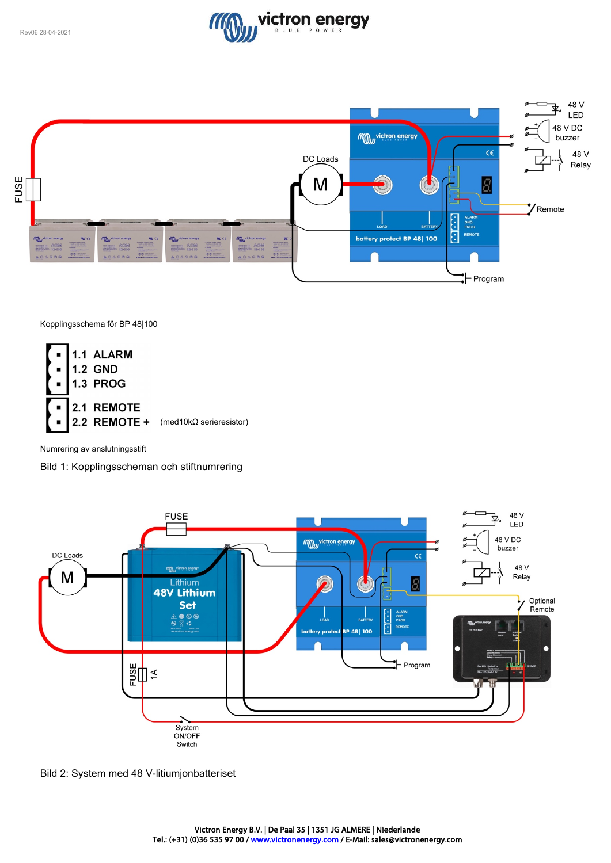



Kopplingsschema för BP 48|100



Numrering av anslutningsstift

Bild 1: Kopplingsscheman och stiftnumrering



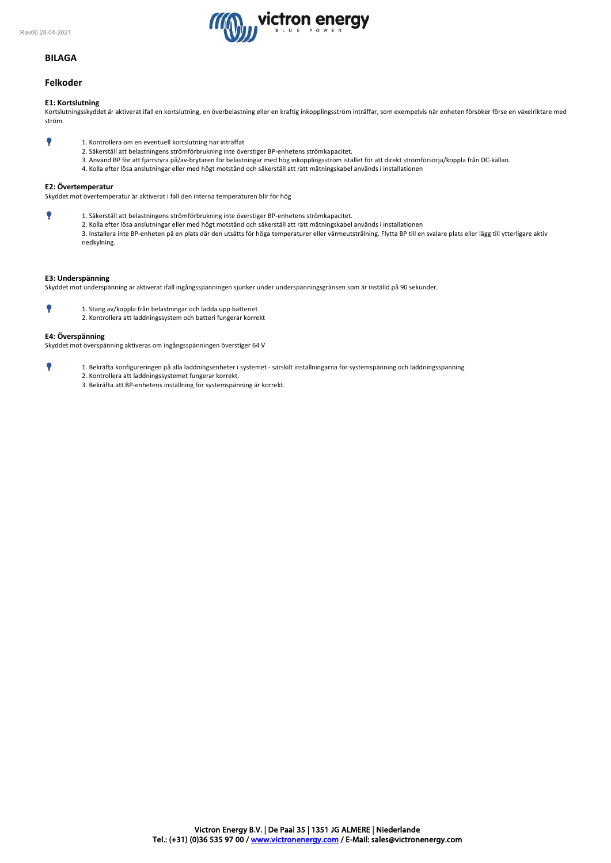

# **BILAGA**

# **Felkoder**

### **E1: Kortslutning**

Kortslutningsskyddet är aktiverat ifall en kortslutning, en överbelastning eller en kraftig inkopplingsström inträffar, som exempelvis när enheten försöker förse en växelriktare med ström.

- 1. Kontrollera om en eventuell kortslutning har inträffat
	- 2. Säkerställ att belastningens strömförbrukning inte överstiger BP-enhetens strömkapacitet.
	- 3. Använd BP för att fjärrstyra på/av-brytaren för belastningar med hög inkopplingsström istället för att direkt strömförsörja/koppla från DC-källan.
		- 4. Kolla efter lösa anslutningar eller med högt motstånd och säkerställ att rätt mätningskabel används i installationen

# **E2: Övertemperatur**

Skyddet mot övertemperatur är aktiverat i fall den interna temperaturen blir för hög

 1. Säkerställ att belastningens strömförbrukning inte överstiger BP-enhetens strömkapacitet. 2. Kolla efter lösa anslutningar eller med högt motstånd och säkerställ att rätt mätningskabel används i installationen 3. Installera inte BP-enheten på en plats där den utsätts för höga temperaturer eller värmeutstrålning. Flytta BP till en svalare plats eller lägg till ytterligare aktiv nedkylning.

#### **E3: Underspänning**

Skyddet mot underspänning är aktiverat ifall ingångsspänningen sjunker under underspänningsgränsen som är inställd på 90 sekunder.

 1. Stäng av/koppla från belastningar och ladda upp batteriet 2. Kontrollera att laddningssystem och batteri fungerar korrekt

#### **E4: Överspänning**

Skyddet mot överspänning aktiveras om ingångsspänningen överstiger 64 V

- 1. Bekräfta konfigureringen på alla laddningsenheter i systemet särskilt inställningarna för systemspänning och laddningsspänning 2. Kontrollera att laddningssystemet fungerar korrekt.
	- 3. Bekräfta att BP-enhetens inställning för systemspänning är korrekt.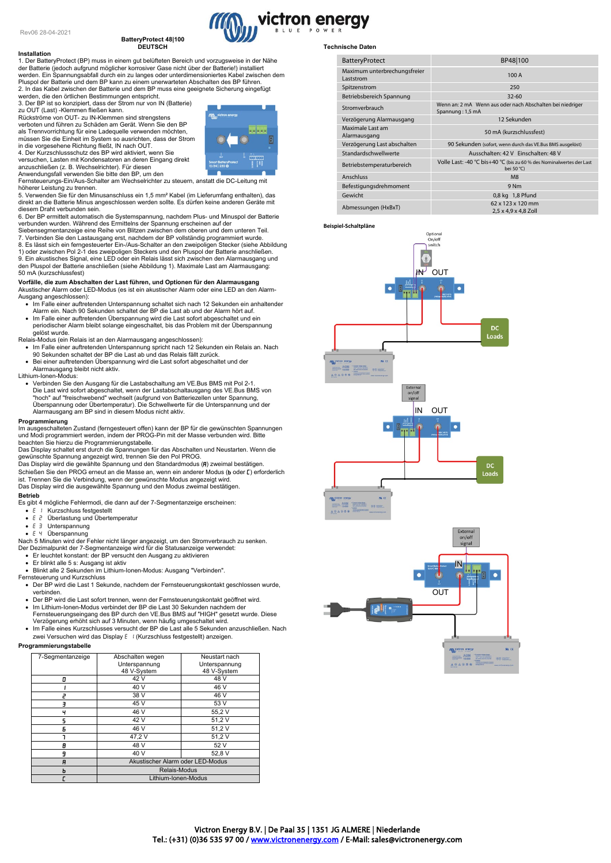#### **BatteryProtect 48|100 DEUTSCH**

**Installation** 1. Der BatteryProtect (BP) muss in einem gut belüfteten Bereich und vorzugsweise in der Nähe der Batterie (jedoch aufgrund möglicher korrosiver Gase nicht über der Batterie!) installiert werden. Ein Spannungsabfall durch ein zu langes oder unterdimensioniertes Kabel zwischen dem Pluspol der Batterie und dem BP kann zu einem unerwarteten Abschalten des BP führen. 2. In das Kabel zwischen der Batterie und dem BP muss eine geeignete Sicherung eingefügt

werden, die den örtlichen Bestimmungen entspricht. 3. Der BP ist so konzipiert, dass der Strom nur von IN (Batterie) zu OUT (Last) -Klemmen fließen kann. Rückströme von OUT- zu IN-Klemmen sind strengstens verboten und führen zu Schäden am Gerät. Wenn Sie den BP

als Trennvorrichtung für eine Ladequelle verwenden möchten, müssen Sie die Einheit im System so ausrichten, dass der Strom in die vorgesehene Richtung fließt, IN nach OUT. 4. Der Kurzschlussschutz des BP wird aktiviert, wenn Sie

versuchen, Lasten mit Kondensatoren an deren Eingang direkt anzuschließen (z. B. Wechselrichter). Für diesen

Anwendungsfall verwenden Sie bitte den BP, um den Fernsteuerungs-Ein/Aus-Schalter am Wechselrichter zu steuern, anstatt die DC-Leitung mit

höherer Leistung zu trennen.<br>5. Verwenden Sie für den Minusanschluss ein 1,5 mm² Kabel (im Lieferumfang enthalten), das<br>direkt an die Batterie Minus angeschlossen werden sollte. Es dürfen keine anderen Geräte mit diesem Draht verbunden sein.

6. Der BP ermittelt automatisch die Systemspannung, nachdem Plus- und Minuspol der Batterie<br>verbunden wurden. Während des Ermittelns der Spannung erscheinen auf der<br>Siebensegmentanzeige eine Reihe von Blitzen zwischen dem

7. Verbinden Sie den Lastausgang erst, nachdem der BP vollständig programmiert wurde. 8. Es lässt sich ein ferngesteuerter Ein-/Aus-Schalter an den zweipoligen Stecker (siehe Abbildung 1) oder zwischen Pol 2-1 des zweipoligen Steckers und den Pluspol der Batterie anschließen. 9. Ein akustisches Signal, eine LED oder ein Relais lässt sich zwischen den Alarmausgang und den Pluspol der Batterie anschließen (siehe Abbildung 1). Maximale Last am Alarmausgang:

# 50 mA (kurzschlussfest)

# **Vorfälle, die zum Abschalten der Last führen, und Optionen für den Alarmausgang**<br>Akustischer Alarm oder LED-Modus (es ist ein akustischer Alarm oder eine LED an den Alarm-Ausgang angeschlossen):

- Im Falle einer auftretenden Unterspannung schaltet sich nach 12 Sekunden ein anhaltender Alarm ein. Nach 90 Sekunden schaltet der BP die Last ab und der Alarm hört auf.
- Im Falle einer auftretenden Überspannung wird die Last sofort abgeschaltet und ein
- periodischer Alarm bleibt solange eingeschaltet, bis das Problem mit der Überspannung .<br>gelöst wurde
- Relais-Modus (ein Relais ist an den Alarmausgang angeschlossen):
- Im Falle einer auftretenden Unterspannung spricht nach 12 Sekunden ein Relais an. Nach 90 Sekunden schaltet der BP die Last ab und das Relais fällt zurück.
- Bei einer auftretenden Überspannung wird die Last sofort abgeschaltet und der Alarmausgang bleibt nicht aktiv. Lithium-Ionen-Modus:
- 
- Verbinden Sie den Ausgang für die Lastabschaltung am VE.Bus BMS mit Pol 2-1.<br>Die Last wird sofort abgeschaltet, wenn der Lastabschaltausgang des VE.Bus BMS von "hoch" auf "freischwebend" wechselt (aufgrund von Batteriez

#### **Programmierung**

Im ausgeschalteten Zustand (ferngesteuert offen) kann der BP für die gewünschten Spannungen und Modi programmiert werden, indem der PROG-Pin mit der Masse verbunden wird. Bitte beachten Sie hierzu die Programmierungstabelle.

Das Display schaltet erst durch die Spannungen für das Abschalten und Neustarten. Wenn die gewünschte Spannung angezeigt wird, trennen Sie den Pol PROG.

Das Display wird die gewählte Spannung und den Standardmodus (R) zweimal bestätigen. Schießen Sie den PROG erneut an die Masse an, wenn ein anderer Modus (b oder []) erforderlich ist. Trennen Sie die Verbindung, wenn der gewünschte Modus angezeigt wird. Das Display wird die ausgewählte Spannung und den Modus zweimal bestätigen.

#### **Betrieb**

Es gibt 4 mögliche Fehlermodi, die dann auf der 7-Segmentanzeige erscheinen:

- $E \perp$  Kurzschluss festgestellt<br>•  $E \neq$  Überlastung und Überte
- Überlastung und Übertemperatur
- $E \ni$  Unterspannung
- 

● E Ч Überspannung<br>Nach 5 Minuten wird der Fehler nicht länger angezeigt, um den Stromverbrauch zu senken.<br>Der Dezimalpunkt der 7-Segmentanzeige wird für die Statusanzeige verwendet:<br>● Er leuchtet konstant: der BP versuch

- 
- Er blinkt alle 5 s: Ausgang ist aktiv • Blinkt alle 2 Sekunden im Lithium-Ionen-Modus: Ausgang "Verbinden".

Fernsteuerung und Kurzschluss

- Der BP wird die Last 1 Sekunde, nachdem der Fernsteuerungskontakt geschlossen wurde, verbinden.
- Der BP wird die Last sofort trennen, wenn der Fernsteuerungskontakt geöffnet wird.
- Im Lithium-Ionen-Modus verbindet der BP die Last 30 Sekunden nachdem der Fernsteuerungseingang des BP durch den VE.Bus BMS auf "HIGH" gesetzt wurde. Diese Verzögerung erhöht sich auf 3 Minuten, wenn häufig umgeschaltet wird.
- Im Falle eines Kurzschlusses versucht der BP die Last alle 5 Sekunden anzuschließen. Nach zwei Versuchen wird das Display E / (Kurzschluss festgestellt) anzeigen.

# **Programmierungstabelle**

| 7-Segmentanzeige | Abschalten wegen<br>Unterspannung | Neustart nach<br>Unterspannung |
|------------------|-----------------------------------|--------------------------------|
|                  | 48 V-System                       | 48 V-System                    |
| п                | 42 V                              | 48 V                           |
|                  | 40 V                              | 46 V                           |
|                  | 38 V                              | 46 V                           |
|                  | 45 V                              | 53 V                           |
|                  | 46 V                              | 55,2V                          |
| 5                | 42 V                              | 51,2V                          |
| Б                | 46 V                              | 51,2V                          |
|                  | 47,2V                             | 51,2V                          |
| A                | 48 V                              | 52 V                           |
| q                | 40 V                              | 52.8 V                         |
| A                | Akustischer Alarm oder LED-Modus  |                                |
| ь                | Relais-Modus                      |                                |
|                  | Lithium-Ionen-Modus               |                                |

#### **Technische Daten**

victron energy

| <b>BatteryProtect</b>                     | BP48 100                                                                           |
|-------------------------------------------|------------------------------------------------------------------------------------|
| Maximum unterbrechungsfreier<br>Laststrom | 100 A                                                                              |
| Spitzenstrom                              | 250                                                                                |
| Betriebsbereich Spannung                  | $32 - 60$                                                                          |
| Stromverbrauch                            | Wenn an: 2 mA Wenn aus oder nach Abschalten bei niedriger<br>Spannung: 1,5 mA      |
| Verzögerung Alarmausgang                  | 12 Sekunden                                                                        |
| Maximale Last am<br>Alarmausgang          | 50 mA (kurzschlussfest)                                                            |
| Verzögerung Last abschalten               | 90 Sekunden (sofort, wenn durch das VE.Bus BMS ausgelöst)                          |
| Standardschwellwerte                      | Ausschalten: 42 V Einschalten: 48 V                                                |
| Betriebstemperaturbereich                 | Volle Last: -40 °C bis+40 °C (bis zu 60 % des Nominalwertes der Last<br>bei 50 °C) |
| Anschluss                                 | M8                                                                                 |
| Befestigungsdrehmoment                    | 9 <sub>Nm</sub>                                                                    |
| Gewicht                                   | 0,8 kg 1,8 Pfund                                                                   |
| Abmessungen (HxBxT)                       | 62 x 123 x 120 mm<br>2,5 x 4,9 x 4,8 Zoll                                          |

#### **Beispiel-Schaltpläne**





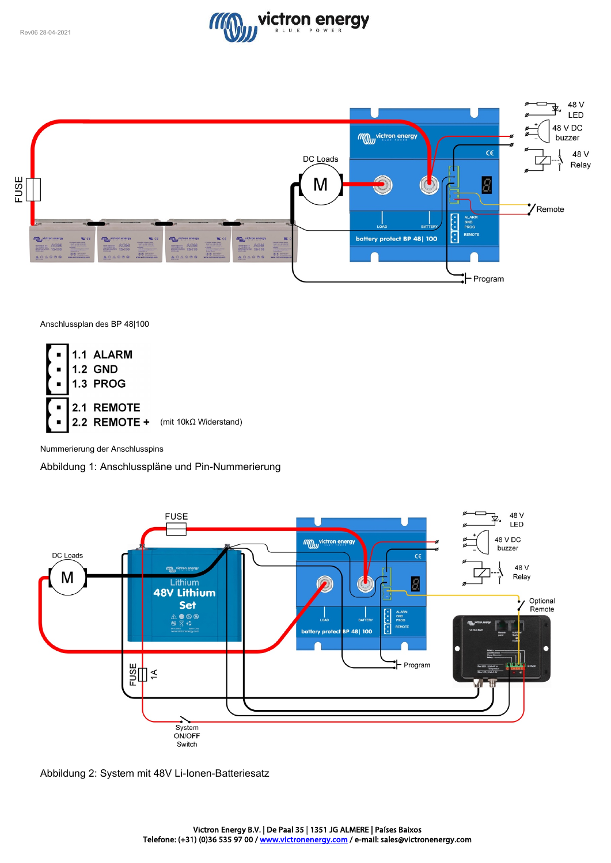



Anschlussplan des BP 48|100

![](_page_13_Figure_4.jpeg)

Nummerierung der Anschlusspins

Abbildung 1: Anschlusspläne und Pin-Nummerierung

![](_page_13_Figure_7.jpeg)

![](_page_13_Figure_8.jpeg)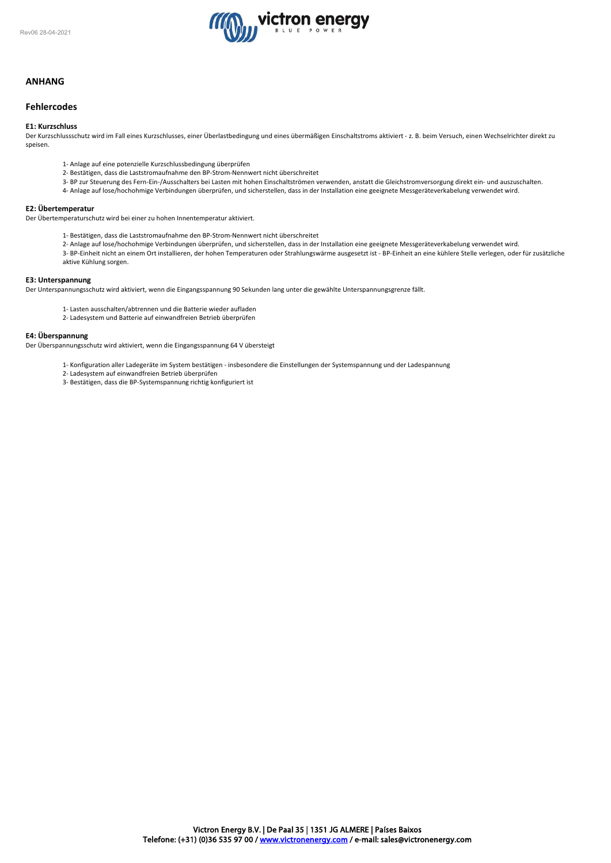![](_page_14_Picture_1.jpeg)

# **ANHANG**

# **Fehlercodes**

#### **E1: Kurzschluss**

Der Kurzschlussschutz wird im Fall eines Kurzschlusses, einer Überlastbedingung und eines übermäßigen Einschaltstroms aktiviert - z. B. beim Versuch, einen Wechselrichter direkt zu speisen.

- 1- Anlage auf eine potenzielle Kurzschlussbedingung überprüfen
- 2- Bestätigen, dass die Laststromaufnahme den BP-Strom-Nennwert nicht überschreitet
- 3- BP zur Steuerung des Fern-Ein-/Ausschalters bei Lasten mit hohen Einschaltströmen verwenden, anstatt die Gleichstromversorgung direkt ein- und auszuschalten.
- 4- Anlage auf lose/hochohmige Verbindungen überprüfen, und sicherstellen, dass in der Installation eine geeignete Messgeräteverkabelung verwendet wird.

# **E2: Übertemperatur**

Der Übertemperaturschutz wird bei einer zu hohen Innentemperatur aktiviert.

- 1- Bestätigen, dass die Laststromaufnahme den BP-Strom-Nennwert nicht überschreitet
- 2- Anlage auf lose/hochohmige Verbindungen überprüfen, und sicherstellen, dass in der Installation eine geeignete Messgeräteverkabelung verwendet wird.
- 3- BP-Einheit nicht an einem Ort installieren, der hohen Temperaturen oder Strahlungswärme ausgesetzt ist BP-Einheit an eine kühlere Stelle verlegen, oder für zusätzliche aktive Kühlung sorgen.

#### **E3: Unterspannung**

Der Unterspannungsschutz wird aktiviert, wenn die Eingangsspannung 90 Sekunden lang unter die gewählte Unterspannungsgrenze fällt.

- 1- Lasten ausschalten/abtrennen und die Batterie wieder aufladen
- 2- Ladesystem und Batterie auf einwandfreien Betrieb überprüfen

#### **E4: Überspannung**

Der Überspannungsschutz wird aktiviert, wenn die Eingangsspannung 64 V übersteigt

- 1- Konfiguration aller Ladegeräte im System bestätigen insbesondere die Einstellungen der Systemspannung und der Ladespannung
- 2- Ladesystem auf einwandfreien Betrieb überprüfen
- 3- Bestätigen, dass die BP-Systemspannung richtig konfiguriert ist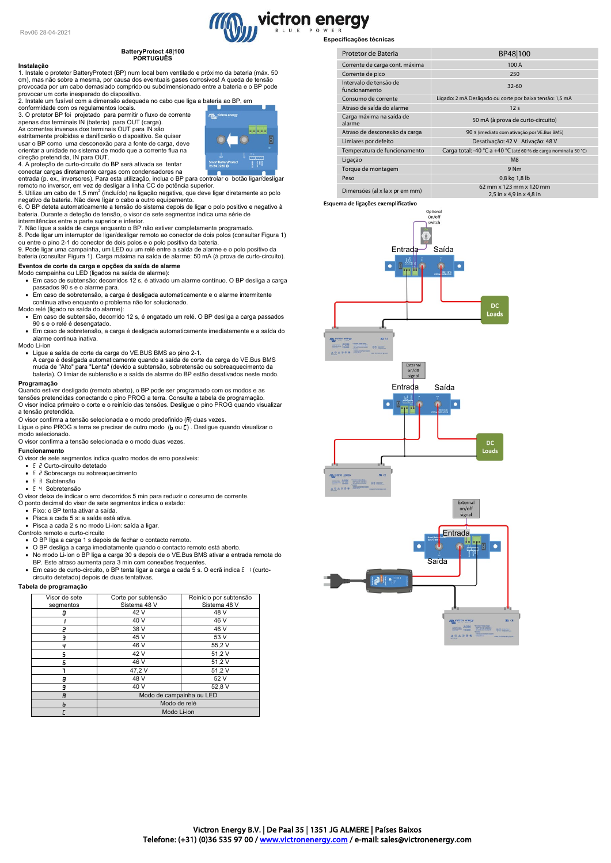# **BatteryProtect 48|100 PORTUGUÊS**

#### **Instalação**

1. Instale o protetor BatteryProtect (BP) num local bem ventilado e próximo da bateria (máx. 50 cm), mas não sobre a mesma, por causa dos eventuais gases corrosivos! A queda de tensão provocada por um cabo demasiado comprido ou subdimensionado entre a bateria e o BP pode

provocar um corte inesperado do dispositivo. 2. Instale um fusível com a dimensão adequada no cabo que liga a bateria ao BP, em

conformidade com os regulamentos locais. 3. O protetor BP foi projetado para permitir o fluxo de corrente apenas dos terminais IN (bateria) para OUT (carga). As correntes inversas dos terminais OUT para IN são

estritamente proibidas e danificarão o dispositivo. Se quiser usar o BP como uma desconexão para a fonte de carga, deve orientar a unidade no sistema de modo que a corrente flua na direção pretendida, IN para OUT. 4. A proteção de curto-circuito do BP será ativada se tentar

Ā et<br>H

conectar cargas diretamente cargas com condensadores na entrada (p. ex., inversores). Para esta utilização, inclua o BP para controlar o botão ligar/desligar

remoto no inversor, em vez de desligar a linha CC de potência superior.<br>5. Utilize um cabo de 1,5 mm² (incluído) na ligação negativa, que deve ligar diretamente ao polo<br>negativo da bateria. Não deve ligar o cabo a outro eq

bateria. Durante a deteção de tensão, o visor de sete segmentos indica uma série de<br>intermitências entre a parte superior e inferior.<br>7. Não ligue a saída de carga enquanto o BP não estiver completamente programado.

8. Pode ligar um interruptor de ligar/desligar remoto ao conector de dois polos (consultar Figura 1) ou entre o pino 2-1 do conector de dois polos e o polo positivo da bateria.

9. Pode ligar uma campainha, um LED ou um relé entre a saída de alarme e o polo positivo da bateria (consultar Figura 1). Carga máxima na saída de alarme: 50 mA (à prova de curto-circuito).

# **Eventos de corte da carga e opções da saída de alarme** Modo campainha ou LED (ligados na saída de alarme):

• Em caso de subtensão: decorridos 12 s, é ativado um alarme contínuo. O BP desliga a carga passados 90 s e o alarme para.

• Em caso de sobretensão, a carga é desligada automaticamente e o alarme intermitente continua ativo enquanto o problema não for solucionado. Modo relé (ligado na saída do alarme):

• Em caso de subtensão, decorrido 12 s, é engatado um relé. O BP desliga a carga passados 90 s e o relé é desengatado.

• Em caso de sobretensão, a carga é desligada automaticamente imediatamente e a saída do alarme continua inativa. Modo Li-ion

• Ligue a saída de corte da carga do VE.BUS BMS ao pino 2-1. A carga é desligada automaticamente quando a saída de corte da carga do VE.Bus BMS muda de "Alto" para "Lenta" (devido a subtensão, sobretensão ou sobreaquecimento da bateria). O limiar de subtensão e a saída de alarme do BP estão desativados neste modo.

#### **Programação**

Quando estiver desligado (remoto aberto), o BP pode ser programado com os modos e as tensões pretendidas conectando o pino PROG a terra. Consulte a tabela de programação. O visor indica primeiro o corte e o reinício das tensões. Desligue o pino PROG quando visualizar a tensão pretendida.

O visor confirma a tensão selecionada e o modo predefinido (R) duas vezes.

Ligue o pino PROG a terra se precisar de outro modo (**b** ou **[**) . Desligue quando visualizar o<br>modo selecionado. O visor confirma a tensão selecionada e o modo duas vezes.

# **Funcionamento**

O visor de sete segmentos indica quatro modos de erro possíveis:

- $\bullet$  E  $\overrightarrow{c}$  Curto-circuito detetado
- $E \nvert P$  Sobrecarga ou sobreaquecimento
- E 3 Subtensão
- E 4 Sobretensão
- O visor deixa de indicar o erro decorridos 5 min para reduzir o consumo de corrente. O ponto decimal do visor de sete segmentos indica o estado:
- Fixo: o BP tenta ativar a saída.
- Pisca a cada 5 s: a saída está ativa.
- 
- Pisca a cada 2 s no modo Li-ion: saída a ligar. Controlo remoto e curto-circuito
	- O BP liga a carga 1 s depois de fechar o contacto remoto.
	- O BP desliga a carga imediatamente quando o contacto remoto está aberto. No modo Li-ion o BP liga a carga 30 s depois de o VE.Bus BMS ativar a entrada remota do BP. Este atraso aumenta para 3 min com conexões frequentes.
	- Em caso de curto-circuito, o BP tenta ligar a carga a cada 5 s. O ecrã indica (curto-

circuito detetado) depois de duas tentativas.

#### **Tabela de programação**

| Visor de sete<br>segmentos | Corte por subtensão<br>Sistema 48 V | Reinício por subtensão<br>Sistema 48 V |
|----------------------------|-------------------------------------|----------------------------------------|
| D                          | 42 V                                | 48 V                                   |
|                            | 40 V                                | 46 V                                   |
|                            | 38 V                                | 46 V                                   |
|                            | 45 V                                | 53 V                                   |
| ч                          | 46 V                                | 55,2V                                  |
| ς                          | 42 V                                | 51,2V                                  |
| Б                          | 46 V                                | 51,2V                                  |
|                            | 47,2V                               | 51,2V                                  |
| Β                          | 48 V                                | 52 V                                   |
| 9                          | 40 V                                | 52,8 V                                 |
| R                          | Modo de campainha ou LED            |                                        |
| ь                          | Modo de relé                        |                                        |
|                            | Modo Li-ion                         |                                        |

![](_page_15_Figure_42.jpeg)

| Protetor de Bateria                     | BP48 100                                                         |  |
|-----------------------------------------|------------------------------------------------------------------|--|
| Corrente de carga cont. máxima          | 100 A                                                            |  |
| Corrente de pico                        | 250                                                              |  |
| Intervalo de tensão de<br>funcionamento | $32 - 60$                                                        |  |
| Consumo de corrente                     | Ligado: 2 mA Desligado ou corte por baixa tensão: 1,5 mA         |  |
| Atraso de saída do alarme               | 12 <sub>s</sub>                                                  |  |
| Carga máxima na saída de<br>alarme      | 50 mA (à prova de curto-circuito)                                |  |
| Atraso de desconexão da carga           | 90 s (imediato com ativação por VE.Bus BMS)                      |  |
| Limiares por defeito                    | Desativação: 42 V Ativação: 48 V                                 |  |
| Temperatura de funcionamento            | Carga total: -40 °C a +40 °C (até 60 % de carga nominal a 50 °C) |  |
| Ligação                                 | M8                                                               |  |
| Torque de montagem                      | 9 Nm                                                             |  |
| Peso                                    | 0,8 kg 1,8 lb                                                    |  |
| Dimensões (al x la x pr em mm)          | 62 mm x 123 mm x 120 mm<br>2,5 in x 4,9 in x 4,8 in              |  |

**Esquema de ligações exemplificativo**

![](_page_15_Figure_45.jpeg)

![](_page_15_Figure_46.jpeg)

victron energy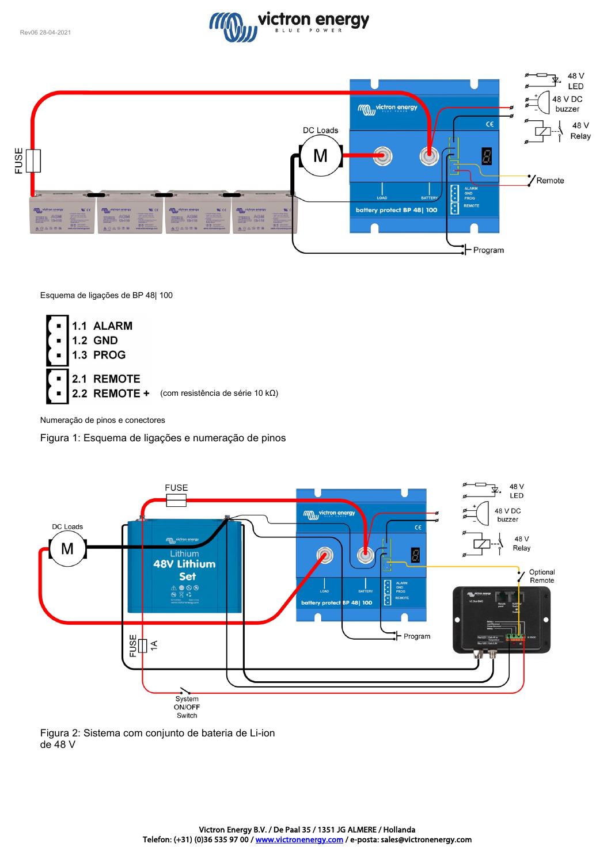![](_page_16_Picture_1.jpeg)

![](_page_16_Figure_2.jpeg)

Esquema de ligações de BP 48| 100

![](_page_16_Figure_4.jpeg)

Numeração de pinos e conectores

Figura 1: Esquema de ligações e numeração de pinos

![](_page_16_Figure_7.jpeg)

![](_page_16_Figure_8.jpeg)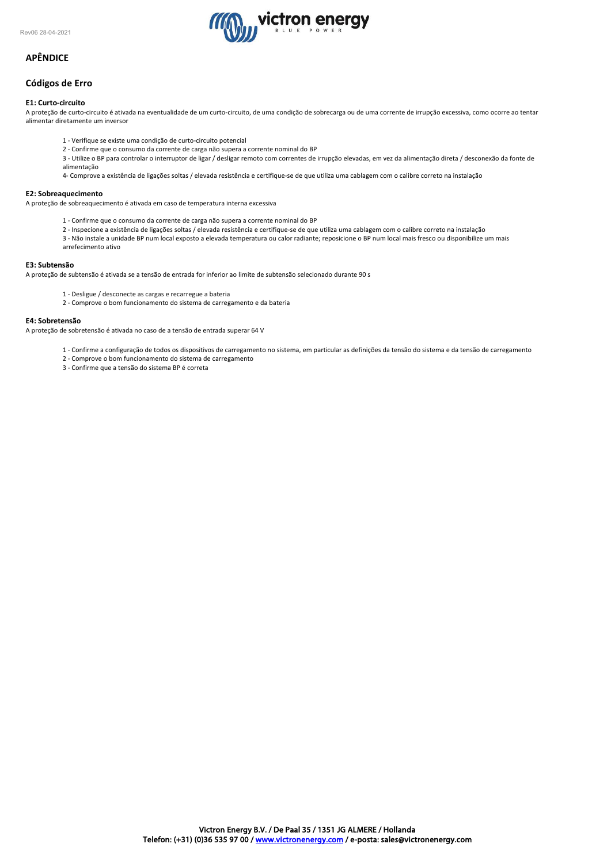![](_page_17_Picture_1.jpeg)

# **APÊNDICE**

# **Códigos de Erro**

### **E1: Curto-circuito**

A proteção de curto-circuito é ativada na eventualidade de um curto-circuito, de uma condição de sobrecarga ou de uma corrente de irrupção excessiva, como ocorre ao tentar alimentar diretamente um inversor

- 1 Verifique se existe uma condição de curto-circuito potencial
- 2 Confirme que o consumo da corrente de carga não supera a corrente nominal do BP
- 3 Utilize o BP para controlar o interruptor de ligar / desligar remoto com correntes de irrupção elevadas, em vez da alimentação direta / desconexão da fonte de alimentação

4- Comprove a existência de ligações soltas / elevada resistência e certifique-se de que utiliza uma cablagem com o calibre correto na instalação

# **E2: Sobreaquecimento**

A proteção de sobreaquecimento é ativada em caso de temperatura interna excessiva

- 1 Confirme que o consumo da corrente de carga não supera a corrente nominal do BP
- 2 Inspecione a existência de ligações soltas / elevada resistência e certifique-se de que utiliza uma cablagem com o calibre correto na instalação
- 3 Não instale a unidade BP num local exposto a elevada temperatura ou calor radiante; reposicione o BP num local mais fresco ou disponibilize um mais arrefecimento ativo

### **E3: Subtensão**

A proteção de subtensão é ativada se a tensão de entrada for inferior ao limite de subtensão selecionado durante 90 s

- 1 Desligue / desconecte as cargas e recarregue a bateria
- 2 Comprove o bom funcionamento do sistema de carregamento e da bateria

#### **E4: Sobretensão**

A proteção de sobretensão é ativada no caso de a tensão de entrada superar 64 V

- 1 Confirme a configuração de todos os dispositivos de carregamento no sistema, em particular as definições da tensão do sistema e da tensão de carregamento
- 2 Comprove o bom funcionamento do sistema de carregamento
- 3 Confirme que a tensão do sistema BP é correta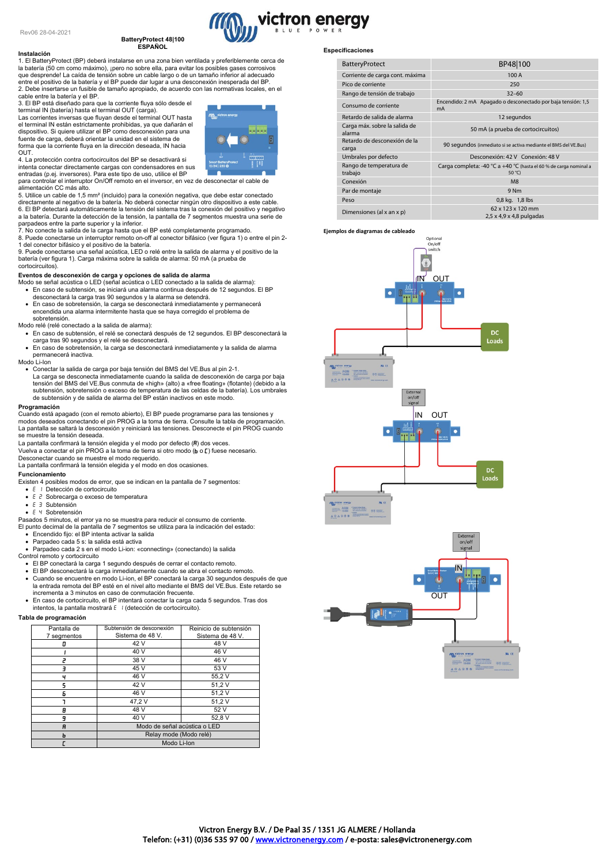# **BatteryProtect 48|100 ESPAÑOL**

**Instalación** 1. El BatteryProtect (BP) deberá instalarse en una zona bien ventilada y preferiblemente cerca de la batería (50 cm como máximo), ¡pero no sobre ella, para evitar los posibles gases corrosivos que desprende! La caída de tensión sobre un cable largo o de un tamaño inferior al adecuado entre el positivo de la batería y el BP puede dar lugar a una desconexión inesperada del BP. 2. Debe insertarse un fusible de tamaño apropiado, de acuerdo con las normativas locales, en el cable entre la batería y el BP.

3. El BP está diseñado para que la corriente fluya sólo desde el terminal IN (batería) hasta el terminal OUT (carga). Las corrientes inversas que fluyan desde el terminal OUT hasta

el terminal IN están estrictamente prohibidas, ya que dañarán el dispositivo. Si quiere utilizar el BP como desconexión para una fuente de carga, deberá orientar la unidad en el sistema de forma que la corriente fluya en la dirección deseada, IN hacia OUT.

4. La protección contra cortocircuitos del BP se desactivará si intenta conectar directamente cargas con condensadores en sus entradas (p.ej. inversores). Para este tipo de uso, utilice el BP

para controlar el interruptor On/Off remoto en el inversor, en vez de desconectar el cable de alimentación CC más alto.

5. Utilice un cable de 1,5 mm² (incluido) para la conexión negativa, que debe estar conectado directamente al negativo de la batería. No deberá conectar ningún otro dispositivo a este cable. 6. El BP detectará automáticamente la tensión del sistema tras la conexión del positivo y negativo a la batería. Durante la detección de la tensión, la pantalla de 7 segmentos muestra una serie de

parpadeos entre la parte superior y la inferior. 7. No conecte la salida de la carga hasta que el BP esté completamente programado. 8. Puede conectarse un interruptor remoto on-off al conector bifásico (ver figura 1) o entre el pin 2- 1 del conector bifásico y el positivo de la batería.

9. Puede conectarse una señal acústica, LED o relé entre la salida de alarma y el positivo de la<br>batería (ver figura 1). Carga máxima sobre la salida de alarma: 50 mA (a prueba de cortocircuitos).

#### **Eventos de desconexión de carga y opciones de salida de alarma**

- Modo se señal acústica o LED (señal acústica o LED conectado a la salida de alarma): • En caso de subtensión, se iniciará una alarma continua después de 12 segundos. El BP desconectará la carga tras 90 segundos y la alarma se detendrá.
- En caso de sobretensión, la carga se desconectará inmediatamente y permanecerá encendida una alarma intermitente hasta que se haya corregido el problema de sobretensión.

Modo relé (relé conectado a la salida de alarma):

- En caso de subtensión, el relé se conectará después de 12 segundos. El BP desconectará la carga tras 90 segundos y el relé se desconectará.
- En caso de sobretensión, la carga se desconectará inmediatamente y la salida de alarma permanecerá inactiva. Modo Li-Ion
- 
- Conectar la salida de carga por baja tensión del BMS del VE.Bus al pin 2-1.<br>La carga se desconecta inmediatamente cuando la salida de desconexión de carga por baja<br>tensión del BMS del VE.Bus conmuta de «high» (alto) a « subtensión, sobretensión o exceso de temperatura de las celdas de la batería). Los umbrales de subtensión y de salida de alarma del BP están inactivos en este modo.

# **Programación**

Cuando está apagado (con el remoto abierto), El BP puede programarse para las tensiones y modos deseados conectando el pin PROG a la toma de tierra. Consulte la tabla de programación. La pantalla se saltará la desconexión y reiniciará las tensiones. Desconecte el pin PROG cuando se muestre la tensión deseada.

La pantalla confirmará la tensión elegida y el modo por defecto  $(H)$  dos veces.

Vuelva a conectar el pin PROG a la toma de tierra si otro modo  $(b \circ c)$  fuese necesario.

Desconectar cuando se muestre el modo requerido. La pantalla confirmará la tensión elegida y el modo en dos ocasiones.

#### **Funcionamiento**

Existen 4 posibles modos de error, que se indican en la pantalla de 7 segmentos:

- E I Detección de cortocircuito
- $\bullet$   $E$   $\geq$  Sobrecarga o exceso de temperatura
- $\bullet$   $\in$   $\exists$  Subtensión
- E 4 Sobretensión

Pasados 5 minutos, el error ya no se muestra para reducir el consumo de corriente. El punto decimal de la pantalla de 7 segmentos se utiliza para la indicación del estado:

• Encendido fijo: el BP intenta activar la salida

- Parpadeo cada 5 s: la salida está activa
- Parpadeo cada 2 s en el modo Li-ion: «connecting» (conectando) la salida
- Control remoto y cortocircuito
- El BP conectará la carga 1 segundo después de cerrar el contacto remoto.
- ∙ El BP desconectará la carga inmediatamente cuando se abra el contacto remoto.<br>∙ Cuando se encuentre en modo Li-ion, el BP conectará la carga 30 segundos después de que<br>≀ la entrada remota del BP esté en el nivel alto m
- incrementa a 3 minutos en caso de conmutación frecuente. • En caso de cortocircuito, el BP intentará conectar la carga cada 5 segundos. Tras dos intentos, la pantalla mostrará E | (detección de cortocircuito).
- 

# **Tabla de programación**

| Pantalla de | Subtensión de desconexión    | Reinicio de subtensión |
|-------------|------------------------------|------------------------|
| 7 segmentos | Sistema de 48 V.             | Sistema de 48 V.       |
|             |                              |                        |
| п           | 42 V                         | 48 V                   |
|             | 40 V                         | 46 V                   |
|             | 38 V                         | 46 V                   |
| ₹           | 45 V                         | 53 V                   |
| ч           | 46 V                         | 55,2V                  |
| 5           | 42 V                         | 51,2V                  |
| Б           | 46 V                         | 51,2V                  |
|             | 47,2V                        | 51,2V                  |
| 8           | 48 V                         | 52 V                   |
| 9           | 40 V                         | 52.8 V                 |
| A           | Modo de señal acústica o LED |                        |
| ь           | Relay mode (Modo relé)       |                        |
|             | Modo Li-Ion                  |                        |
|             |                              |                        |

# **Especificaciones**

victron energy

| <b>BatteryProtect</b>                   | BP48 100                                                                             |  |
|-----------------------------------------|--------------------------------------------------------------------------------------|--|
| Corriente de carga cont. máxima         | 100 A                                                                                |  |
| Pico de corriente                       | 250                                                                                  |  |
| Rango de tensión de trabajo             | $32 - 60$                                                                            |  |
| Consumo de corriente                    | Encendido: 2 mA Apagado o desconectado por baja tensión: 1,5<br>mA                   |  |
| Retardo de salida de alarma             | 12 segundos                                                                          |  |
| Carga máx. sobre la salida de<br>alarma | 50 mA (a prueba de cortocircuitos)                                                   |  |
| Retardo de desconexión de la<br>carga   | 90 segundos (inmediato si se activa mediante el BMS del VE.Bus)                      |  |
| Umbrales por defecto                    | Desconexión: 42 V Conexión: 48 V                                                     |  |
| Rango de temperatura de<br>trabajo      | Carga completa: -40 °C a +40 °C (hasta el 60 % de carga nominal a<br>$50^{\circ}$ C) |  |
| Conexión                                | M8                                                                                   |  |
| Par de montaje                          | 9 Nm                                                                                 |  |
| Peso                                    | 0,8 kg. 1,8 lbs                                                                      |  |
| Dimensiones (al x an x p)               | 62 x 123 x 120 mm<br>$2.5 \times 4.9 \times 4.8$ pulgadas                            |  |

#### **Ejemplos de diagramas de cableado**

![](_page_18_Figure_43.jpeg)

![](_page_18_Figure_44.jpeg)

![](_page_18_Picture_46.jpeg)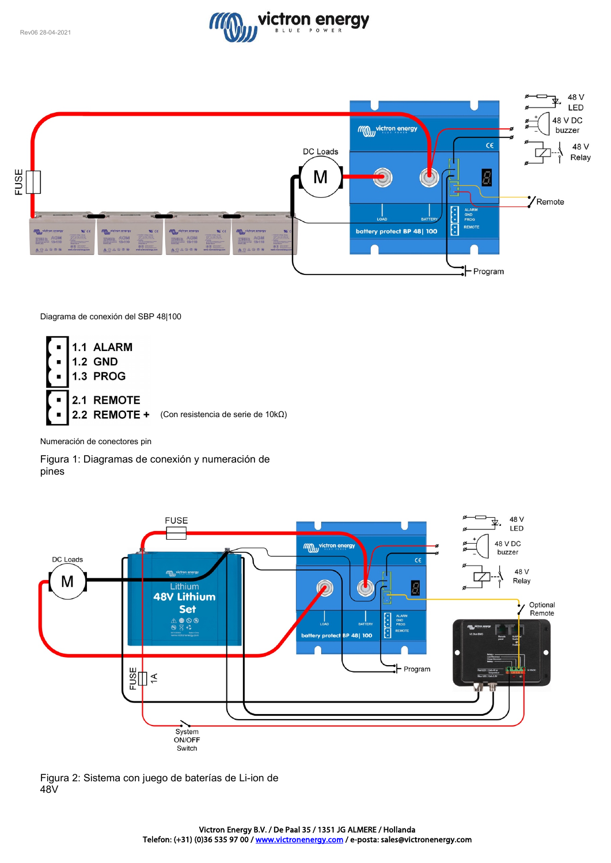![](_page_19_Picture_1.jpeg)

![](_page_19_Figure_2.jpeg)

Diagrama de conexión del SBP 48|100

![](_page_19_Figure_4.jpeg)

Numeración de conectores pin

Figura 1: Diagramas de conexión y numeración de pines

![](_page_19_Figure_7.jpeg)

Figura 2: Sistema con juego de baterías de Li-ion de 48V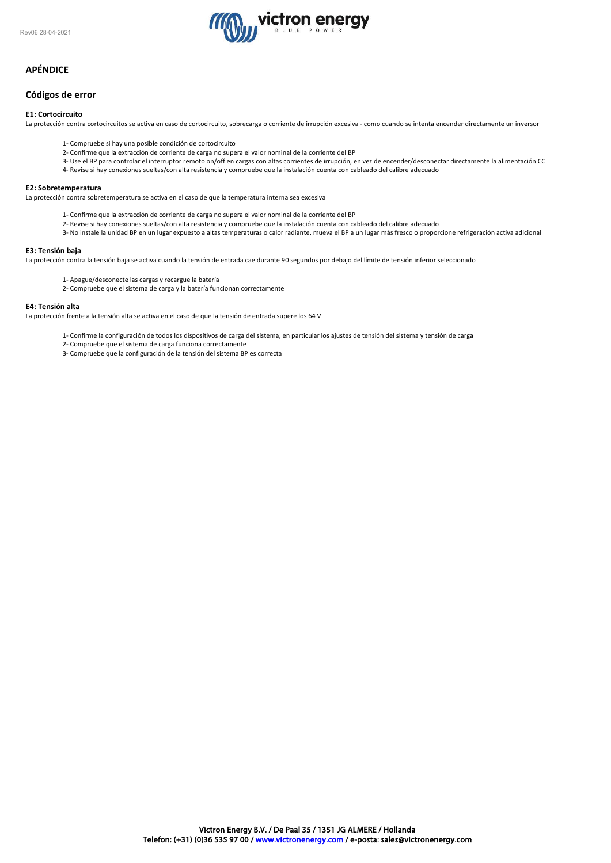![](_page_20_Picture_1.jpeg)

# **APÉNDICE**

# **Códigos de error**

### **E1: Cortocircuito**

La protección contra cortocircuitos se activa en caso de cortocircuito, sobrecarga o corriente de irrupción excesiva - como cuando se intenta encender directamente un inversor

- 1- Compruebe si hay una posible condición de cortocircuito
- 2- Confirme que la extracción de corriente de carga no supera el valor nominal de la corriente del BP
- 3- Use el BP para controlar el interruptor remoto on/off en cargas con altas corrientes de irrupción, en vez de encender/desconectar directamente la alimentación CC 4- Revise si hay conexiones sueltas/con alta resistencia y compruebe que la instalación cuenta con cableado del calibre adecuado

# **E2: Sobretemperatura**

La protección contra sobretemperatura se activa en el caso de que la temperatura interna sea excesiva

- 1- Confirme que la extracción de corriente de carga no supera el valor nominal de la corriente del BP
- 2- Revise si hay conexiones sueltas/con alta resistencia y compruebe que la instalación cuenta con cableado del calibre adecuado
- 3- No instale la unidad BP en un lugar expuesto a altas temperaturas o calor radiante, mueva el BP a un lugar más fresco o proporcione refrigeración activa adicional

#### **E3: Tensión baja**

La protección contra la tensión baja se activa cuando la tensión de entrada cae durante 90 segundos por debajo del límite de tensión inferior seleccionado

- 1- Apague/desconecte las cargas y recargue la batería
- 2- Compruebe que el sistema de carga y la batería funcionan correctamente

#### **E4: Tensión alta**

La protección frente a la tensión alta se activa en el caso de que la tensión de entrada supere los 64 V

- 1- Confirme la configuración de todos los dispositivos de carga del sistema, en particular los ajustes de tensión del sistema y tensión de carga
- 2- Compruebe que el sistema de carga funciona correctamente
- 3- Compruebe que la configuración de la tensión del sistema BP es correcta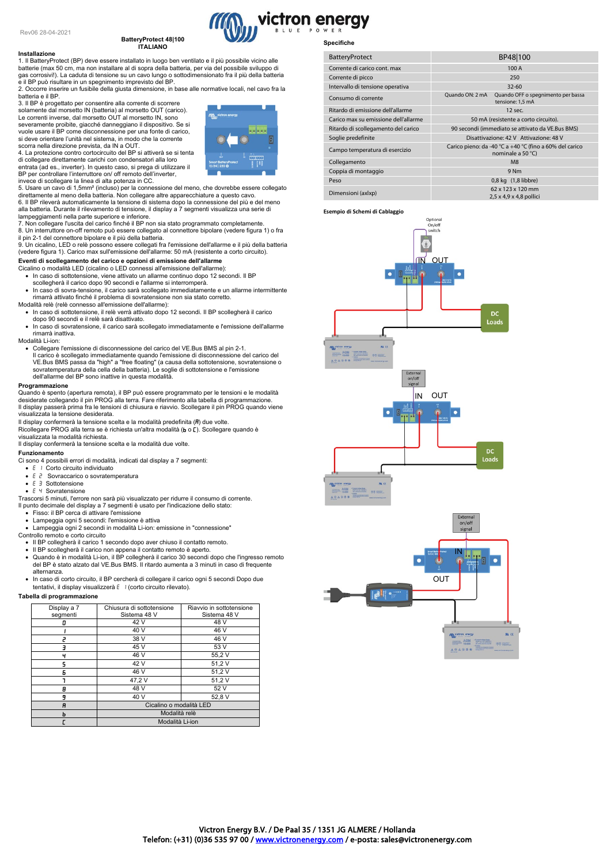#### **BatteryProtect 48|100 ITALIANO**

![](_page_21_Picture_2.jpeg)

**Installazione**<br>1. Il BatteryProtect (BP) deve essere installato in luogo ben ventilato e il più possibile vicino alle<br>batterie (max 50 cm, ma non installare al di sopra della batteria, per via del possibile sviluppo di<br>ga

e il BP può risultare in un spegnimento imprevisto del BP. 2. Occorre inserire un fusibile della giusta dimensione, in base alle normative locali, nel cavo fra la batteria e il BP.

3. Il BP è progettato per consentire alla corrente di scorrere solamente dal morsetto IN (batteria) al morsetto OUT (carico). Le correnti inverse, dal morsetto OUT al morsetto IN, sono severamente proibite, giacché danneggiano il dispositivo. Se si vuole usare il BP come disconnessione per una fonte di carico, si deve orientare l'unità nel sistema, in modo che la corrente

scorra nella direzione prevista, da IN a OUT. 4. La protezione contro cortocircuito del BP si attiverà se si tenta di collegare direttamente carichi con condensatori alla loro entrata (ad es., inverter). In questo caso, si prega di utilizzare il BP per controllare l'interruttore on/ off remoto dell'inverter,

![](_page_21_Figure_8.jpeg)

5. Usare un cavo di 1,5mm² (incluso) per la connessione del meno, che dovrebbe essere collegato direttamente al meno della batteria. Non collegare altre apparecchiature a questo cavo. 6. Il BP rileverà automaticamente la tensione di sistema dopo la connessione del più e del meno alla batteria. Durante il rilevamento di tensione, il display a 7 segmenti visualizza una serie di

#### lampeggiamenti nella parte superiore e inferiore.

7. Non collegare l'uscita del carico finché il BP non sia stato programmato completamente. 8. Un interruttore on-off remoto può essere collegato al connettore bipolare (vedere figura 1) o fra

il pin 2-1 del connettore bipolare e il più della batteria. 9. Un cicalino, LED o relè possono essere collegati fra l'emissione dell'allarme e il più della batteria (vedere figura 1). Carico max sull'emissione dell'allarme: 50 mA (resistente a corto circuito).

- **Eventi di scollegamento del carico e opzioni di emissione dell'allarme** Cicalino o modalità LED (cicalino o LED connessi all'emissione dell'allarme): • In caso di sottotensione, viene attivato un allarme continuo dopo 12 secondi. Il BP scollegherà il carico dopo 90 secondi e l'allarme si interromperà.
- In caso di sovra-tensione, il carico sarà scollegato immediatamente e un allarme intermittente rimarrà attivato finché il problema di sovratensione non sia stato corretto.
- Modalità relè (relè connesso all'emissione dell'allarme): • In caso di sottotensione, il relè verrà attivato dopo 12 secondi. Il BP scollegherà il carico dopo 90 secondi e il relè sarà disattivato.
- In caso di sovratensione, il carico sarà scollegato immediatamente e l'emissione dell'allarme rimarrà inattiva.

#### Modalità Li-ion:

- Collegare l'emissione di disconnessione del carico del VE.Bus BMS al pin 2-1.
- Il carico è scollegato immediatamente quando l'emissione di disconnessione del carico del VE.Bus BMS passa da "high" a "free floating" (a causa della sottotensione, sovratensione o sovratemperatura della cella della batteria). Le soglie di sottotensione e l'emissione dell'allarme del BP sono inattive in questa modalità.

#### **Programmazione**

Quando è spento (apertura remota), il BP può essere programmato per le tensioni e le modalità<br>desiderate collegando il pin PROG alla terra. Fare riferimento alla tabella di programmazione.<br>Il display passerà prima fra le t visualizzata la tensione desiderata.

- Il display confermerà la tensione scelta e la modalità predefinita  $(H)$  due volte.
- n archien.<br>Ricollegare PROG alla terra se è richiesta un'altra modalità (b o L). Scollegare quando è visualizzata la modalità richiesta.

Il display confermerà la tensione scelta e la modalità due volte.

#### **Funzionamento**

- Ci sono 4 possibili errori di modalità, indicati dal display a 7 segmenti:
- $\bullet$  **E** *I* Corto circuito individuato
- E P Sovraccarico o sovratemperatura
- $E = 3$  Sottotensione  $\bullet$   $\vdash$  4 Sovratensione
- 
- Trascorsi 5 minuti, l'errore non sarà più visualizzato per ridurre il consumo di corrente. Il punto decimale del display a 7 segmenti è usato per l'indicazione dello stato:
- Fisso: il BP cerca di attivare l'emissione
- Lampeggia ogni 5 secondi: l'emissione è attiva
- Lampeggia ogni 2 secondi in modalità Li-ion: emissione in "connessione" Controllo remoto e corto circuito
- 
- Il BP collegherà il carico 1 secondo dopo aver chiuso il contatto remoto.
- Il BP scollegherà il carico non appena il contatto remoto è aperto. Quando è in modalità Li-ion, il BP collegherà il carico 30 secondi dopo che l'ingresso remoto del BP è stato alzato dal VE.Bus BMS. Il ritardo aumenta a 3 minuti in caso di frequente alternanza.
- In caso di corto circuito, il BP cercherà di collegare il carico ogni 5 secondi Dopo due tentativi, il display visualizzerà E | (corto circuito rilevato).

#### **Tabella di programmazione**

| Display a 7<br>segmenti | Chiusura di sottotensione<br>Sistema 48 V | Riavvio in sottotensione<br>Sistema 48 V |
|-------------------------|-------------------------------------------|------------------------------------------|
|                         | 42 V                                      | 48 V                                     |
|                         | 40 V                                      | 46 V                                     |
|                         | 38 V                                      | 46 V                                     |
|                         | 45 V                                      | 53 V                                     |
| ч                       | 46 V                                      | 55,2V                                    |
|                         | 42 V                                      | 51,2V                                    |
| Б                       | 46 V                                      | 51,2V                                    |
|                         | 47,2V                                     | 51,2V                                    |
| θ                       | 48 V                                      | 52 V                                     |
| 9                       | 40 V                                      | 52,8 V                                   |
| A                       | Cicalino o modalità LED                   |                                          |
| ь                       | Modalità relè                             |                                          |
|                         | Modalità Li-ion                           |                                          |

### **Specifiche**

| <b>BatteryProtect</b>                | BP48 100                                                                     |  |
|--------------------------------------|------------------------------------------------------------------------------|--|
| Corrente di carico cont. max         | 100 A                                                                        |  |
| Corrente di picco                    | 250                                                                          |  |
| Intervallo di tensione operativa     | $32 - 60$                                                                    |  |
| Consumo di corrente                  | Ouando ON: 2 mA<br>Quando OFF o spegnimento per bassa<br>tensione: 1,5 mA    |  |
| Ritardo di emissione dell'allarme    | 12 sec.                                                                      |  |
| Carico max su emissione dell'allarme | 50 mA (resistente a corto circuito).                                         |  |
| Ritardo di scollegamento del carico  | 90 secondi (immediato se attivato da VE.Bus BMS)                             |  |
| Soglie predefinite                   | Disattivazione: 42 V Attivazione: 48 V                                       |  |
| Campo temperatura di esercizio       | Carico pieno: da -40 °C a +40 °C (fino a 60% del carico<br>nominale a 50 °C) |  |
| Collegamento                         | M <sub>8</sub>                                                               |  |
| Coppia di montaggio                  | 9 Nm                                                                         |  |
| Peso                                 | 0,8 kg (1,8 libbre)                                                          |  |
| Dimensioni (axlxp)                   | 62 x 123 x 120 mm                                                            |  |
|                                      | $2.5 \times 4.9 \times 4.8$ pollici                                          |  |

#### **Esempio di Schemi di Cablaggio**

![](_page_21_Figure_45.jpeg)

![](_page_21_Figure_46.jpeg)

![](_page_21_Picture_48.jpeg)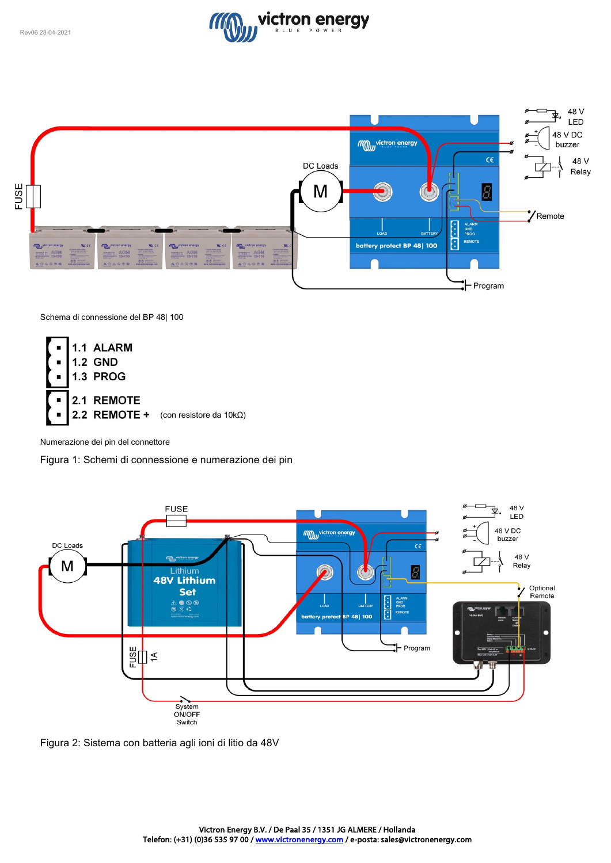![](_page_22_Picture_1.jpeg)

![](_page_22_Figure_2.jpeg)

Schema di connessione del BP 48| 100

![](_page_22_Figure_4.jpeg)

Numerazione dei pin del connettore

Figura 1: Schemi di connessione e numerazione dei pin

![](_page_22_Figure_7.jpeg)

Figura 2: Sistema con batteria agli ioni di litio da 48V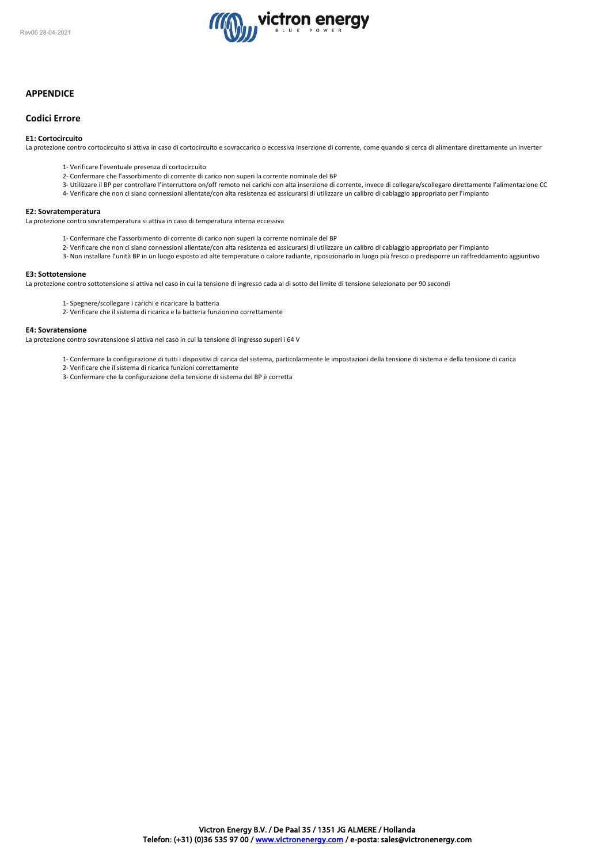![](_page_23_Picture_1.jpeg)

# **APPENDICE**

# **Codici Errore**

# **E1: Cortocircuito**

La protezione contro cortocircuito si attiva in caso di cortocircuito e sovraccarico o eccessiva inserzione di corrente, come quando si cerca di alimentare direttamente un inverter

- 1- Verificare l'eventuale presenza di cortocircuito
- 2- Confermare che l'assorbimento di corrente di carico non superi la corrente nominale del BP
- 3- Utilizzare il BP per controllare l'interruttore on/off remoto nei carichi con alta inserzione di corrente, invece di collegare/scollegare direttamente l'alimentazione CC
- 4- Verificare che non ci siano connessioni allentate/con alta resistenza ed assicurarsi di utilizzare un calibro di cablaggio appropriato per l'impianto

#### **E2: Sovratemperatura**

La protezione contro sovratemperatura si attiva in caso di temperatura interna eccessiva

- 1- Confermare che l'assorbimento di corrente di carico non superi la corrente nominale del BP
- 2- Verificare che non ci siano connessioni allentate/con alta resistenza ed assicurarsi di utilizzare un calibro di cablaggio appropriato per l'impianto
- 3- Non installare l'unità BP in un luogo esposto ad alte temperature o calore radiante, riposizionarlo in luogo più fresco o predisporre un raffreddamento aggiuntivo

#### **E3: Sottotensione**

La protezione contro sottotensione si attiva nel caso in cui la tensione di ingresso cada al di sotto del limite di tensione selezionato per 90 secondi

- 1- Spegnere/scollegare i carichi e ricaricare la batteria
- 2- Verificare che il sistema di ricarica e la batteria funzionino correttamente

#### **E4: Sovratensione**

La protezione contro sovratensione si attiva nel caso in cui la tensione di ingresso superi i 64 V

- 1- Confermare la configurazione di tutti i dispositivi di carica del sistema, particolarmente le impostazioni della tensione di sistema e della tensione di carica
- 2- Verificare che il sistema di ricarica funzioni correttamente
- 3- Confermare che la configurazione della tensione di sistema del BP è corretta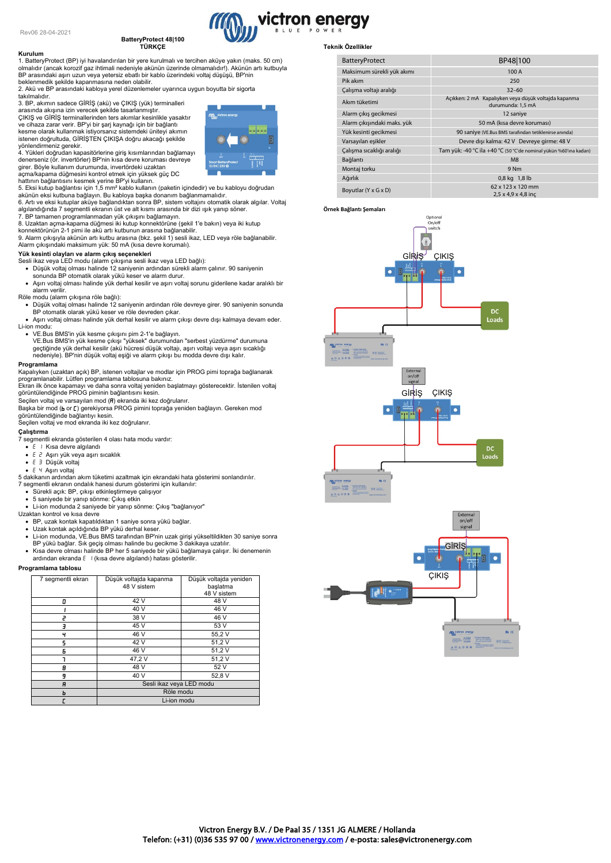#### **Kurulum**

# **BatteryProtect 48|100 TÜRKÇE**

1. BatteryProtect (BP) iyi havalandırılan bir yere kurulmalı ve tercihen aküye yakın (maks. 50 cm) olmalıdır (ancak korozif gaz ihtimali nedeniyle akünün üzerinde olmamalıdır!). Akünün artı kutbuyla BP arasındaki aşırı uzun veya yetersiz ebatlı bir kablo üzerindeki voltaj düşüşü, BP'nin

beklenmedik şekilde kapanmasına neden olabilir. 2. Akü ve BP arasındaki kabloya yerel düzenlemeler uyarınca uygun boyutta bir sigorta takılmalıdır.

# 3. BP, akımın sadece GİRİŞ (akü) ve ÇIKIŞ (yük) terminalleri

arasında akışına izin verecek şekilde tasarlanmıştır.<br>ÇIKIŞ ve GİRİŞ terminallerinden ters akımlar kesinlikle yasaktır<br>ve cihaza zarar verir. BP'yi bir şarj kaynağı için bir bağlantı<br>kesme olarak kullanmak istiyorsanız sis

yönlendirmeniz gerekir. 4. Yükleri doğrudan kapasitörlerine giriş kısımlarından bağlamayı denerseniz (ör. invertörler) BP'nin kısa devre koruması devreye girer. Böyle kullanım durumunda, invertördeki uzaktan

açma/kapama düğmesini kontrol etmek için yüksek güç DC

hattının bağlantısını kesmek yerine BP'yi kullanın. 5. Eksi kutup bağlantısı için 1,5 mm² kablo kullanın (paketin içindedir) ve bu kabloyu doğrudan

akünün eksi kutbuna bağlayın. Bu kabloya başka donanım bağlanmamalıdır. 6. Artı ve eksi kutuplar aküye bağlandıktan sonra BP, sistem voltajını otomatik olarak algılar. Voltaj algılandığında 7 segmentli ekranın üst ve alt kısmı arasında bir dizi ışık yanıp söner.

7. BP tamamen programlanmadan yük çıkışını bağlamayın.

8. Uzaktan açma-kapama düğmesi iki kutup konnektörüne (şekil 1'e bakın) veya iki kutup konnektörünün 2-1 pimi ile akü artı kutbunun arasına bağlanabilir. 9. Alarm çıkışıyla akünün artı kutbu arasına (bkz. şekil 1) sesli ikaz, LED veya röle bağlanabilir. Alarm çıkışındaki maksimum yük: 50 mA (kısa devre korumalı).

#### **Yük kesinti olayları ve alarm çıkış seçenekleri**

- Sesli ikaz veya LED modu (alarm çıkışına sesli ikaz veya LED bağlı):<br>• Düşük voltaj olması halinde 12 saniyenin ardından sürekli alarm çalınır. 90 saniyenin<br>sonunda BP otomatik olarak yükü keser ve alarm durur.
- Aşırı voltaj olması halinde yük derhal kesilir ve aşırı voltaj sorunu giderilene kadar aralıklı bir alarm verilir.
- Röle modu (alarm çıkışına röle bağlı):
	- Düşük voltaj olması halinde 12 saniyenin ardından röle devreye girer. 90 saniyenin sonunda
- BP otomatik olarak yükü keser ve röle devreden çıkar. Aşırı voltaj olması halinde yük derhal kesilir ve alarm çıkışı devre dışı kalmaya devam eder. Li-ion modu:
	- VE.Bus BMS'in yük kesme çıkışını pim 2-1'e bağlayın.
	- VE.Bus BMS'in yük kesme çıkışı "yüksek" durumundan "serbest yüzdürme" durumuna geçtiğinde yük derhal kesilir (akü hücresi düşük voltajı, aşırı voltajı veya aşırı sıcaklığı nedeniyle). BP'nin düşük voltaj eşiği ve alarm çıkışı bu modda devre dışı kalır.

# **Programlama**

Kapalıyken (uzaktan açık) BP, istenen voltajlar ve modlar için PROG pimi toprağa bağlanarak<br>programlanabilir. Lütfen programlama tablosuna bakınız.<br>Ekran ilk önce kapamayı ve daha sonra voltaj yeniden başlatmayı gösterecek

Başka bir mod (b or []) gerekiyorsa PROG pimini toprağa yeniden bağlayın. Gereken mod

görüntülendiğinde bağlantıyı kesin. Seçilen voltaj ve mod ekranda iki kez doğrulanır.

**Çalıştırma**

- 7 segmentli ekranda gösterilen 4 olası hata modu vardır:
- E I Kısa devre algılandı
- Aşırı yük veya aşırı sıcaklık
- E 3 Düşük voltaj
- 
- Aşırı voltaj 5 dakikanın ardından akım tüketimi azaltmak için ekrandaki hata gösterimi sonlandırılır. 7 segmentli ekranın ondalık hanesi durum gösterimi için kullanılır:
- Sürekli açık: BP, çıkışı etkinleştirmeye çalışıyor
- 
- 5 saniyede bir yanıp sönme: Çıkış etkin Li-ion modunda 2 saniyede bir yanıp sönme: Çıkış "bağlanıyor"
- 
- Uzaktan kontrol ve kısa devre BP, uzak kontak kapatıldıktan 1 saniye sonra yükü bağlar.
- 
- Uzak kontak açıldığında BP yükü derhal keser. Li-ion modunda, VE.Bus BMS tarafından BP'nin uzak girişi yükseltildikten 30 saniye sonra BP yükü bağlar. Sık geçiş olması halinde bu gecikme 3 dakikaya uzatılır.
- Kısa devre olması halinde BP her 5 saniyede bir yükü bağlamaya çalışır. İki denemenin
- ardından ekranda (kısa devre algılandı) hatası gösterilir.

#### **Programlama tablosu**

| 7 segmentli ekran | Düşük voltajda kapanma<br>48 V sistem | Düşük voltajda yeniden<br>başlatma<br>48 V sistem |
|-------------------|---------------------------------------|---------------------------------------------------|
| 0                 | 42 V                                  | 48 V                                              |
|                   | 40 V                                  | 46 V                                              |
|                   | 38 V                                  | 46 V                                              |
| E                 | 45 V                                  | 53 V                                              |
| ч                 | 46 V                                  | 55,2V                                             |
| 5                 | 42 V                                  | 51,2V                                             |
| Б                 | 46 V                                  | 51,2V                                             |
|                   | 47,2V                                 | 51,2V                                             |
| 8                 | 48 V                                  | 52 V                                              |
| 9                 | 40 V                                  | 52,8 V                                            |
| A                 | Sesli ikaz veya LED modu              |                                                   |
| ь                 | Röle modu                             |                                                   |
|                   | Li-ion modu                           |                                                   |

# **Teknik Özellikler**

victron energy

| <b>BatteryProtect</b>       | BP48 100                                                                  |  |
|-----------------------------|---------------------------------------------------------------------------|--|
| Maksimum sürekli yük akımı  | 100 A                                                                     |  |
| Pik akım                    | 250                                                                       |  |
| Çalışma voltajı aralığı     | $32 - 60$                                                                 |  |
| Akım tüketimi               | Açıkken: 2 mA Kapalıyken veya düşük voltajda kapanma<br>durumunda: 1.5 mA |  |
| Alarm cıkış gecikmesi       | 12 saniye                                                                 |  |
| Alarm çıkışındaki maks. yük | 50 mA (kısa devre koruması)                                               |  |
| Yük kesinti gecikmesi       | 90 saniye (VE.Bus BMS tarafından tetiklenirse anında)                     |  |
| Varsayılan eşikler          | Devre dışı kalma: 42 V Devreye girme: 48 V                                |  |
| Çalışma sıcaklığı aralığı   | Tam yük: -40 °C ila +40 °C (50 °C'de nominal yükün %60'ına kadarı)        |  |
| Bağlantı                    | M8                                                                        |  |
| Montaj torku                | 9 Nm                                                                      |  |
| Ağırlık                     | 0,8 kg 1,8 lb                                                             |  |
| Boyutlar (Y x G x D)        | 62 x 123 x 120 mm<br>$2.5 \times 4.9 \times 4.8$ inc                      |  |

**Örnek Bağlantı Şemaları**

![](_page_24_Figure_49.jpeg)

![](_page_24_Figure_50.jpeg)

![](_page_24_Picture_52.jpeg)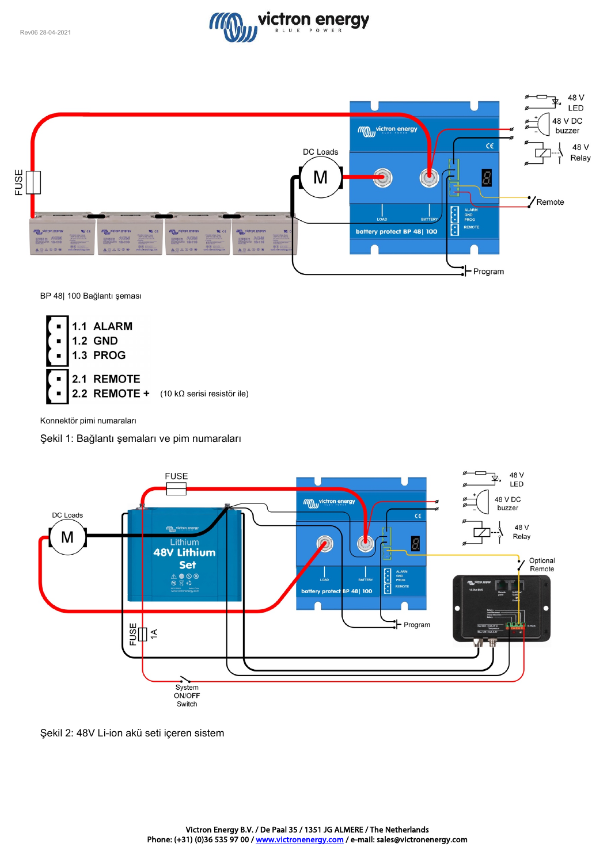![](_page_25_Picture_1.jpeg)

![](_page_25_Figure_2.jpeg)

BP 48| 100 Bağlantı şeması

![](_page_25_Figure_4.jpeg)

Konnektör pimi numaraları

Şekil 1: Bağlantı şemaları ve pim numaraları

![](_page_25_Figure_7.jpeg)

Şekil 2: 48V Li-ion akü seti içeren sistem